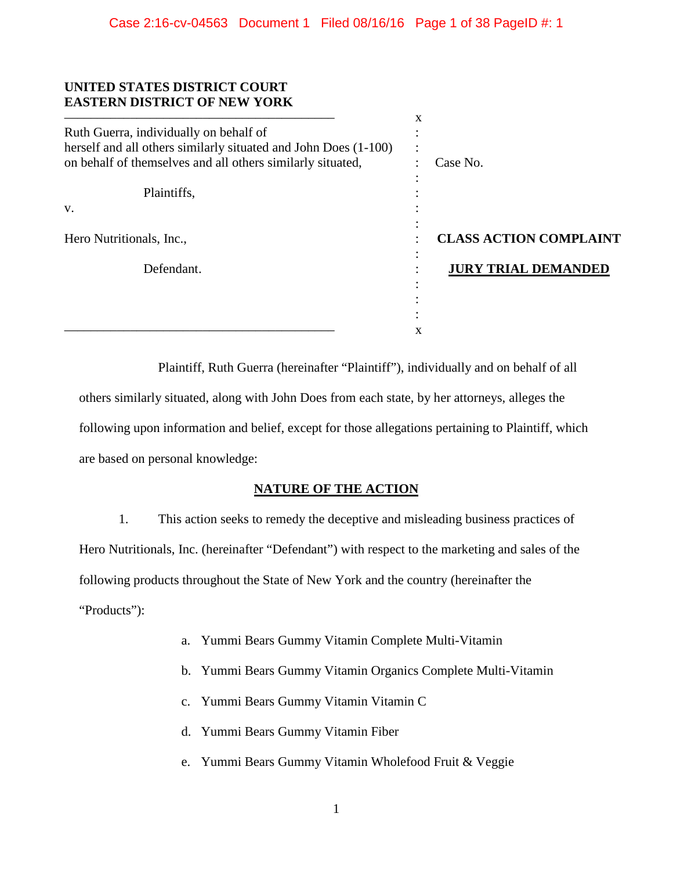### **UNITED STATES DISTRICT COURT EASTERN DISTRICT OF NEW YORK**

|                                                                 | x                             |  |
|-----------------------------------------------------------------|-------------------------------|--|
| Ruth Guerra, individually on behalf of                          |                               |  |
| herself and all others similarly situated and John Does (1-100) | $\overline{\phantom{a}}$      |  |
| on behalf of themselves and all others similarly situated,      | Case No.                      |  |
|                                                                 |                               |  |
| Plaintiffs,                                                     |                               |  |
| V.                                                              |                               |  |
|                                                                 |                               |  |
| Hero Nutritionals, Inc.,                                        | <b>CLASS ACTION COMPLAINT</b> |  |
| Defendant.                                                      | <b>JURY TRIAL DEMANDED</b>    |  |
|                                                                 |                               |  |
|                                                                 |                               |  |
|                                                                 |                               |  |
|                                                                 | x                             |  |

Plaintiff, Ruth Guerra (hereinafter "Plaintiff"), individually and on behalf of all others similarly situated, along with John Does from each state, by her attorneys, alleges the following upon information and belief, except for those allegations pertaining to Plaintiff, which are based on personal knowledge:

# **NATURE OF THE ACTION**

1. This action seeks to remedy the deceptive and misleading business practices of Hero Nutritionals, Inc. (hereinafter "Defendant") with respect to the marketing and sales of the following products throughout the State of New York and the country (hereinafter the "Products"):

- a. Yummi Bears Gummy Vitamin Complete Multi-Vitamin
- b. Yummi Bears Gummy Vitamin Organics Complete Multi-Vitamin
- c. Yummi Bears Gummy Vitamin Vitamin C
- d. Yummi Bears Gummy Vitamin Fiber
- e. Yummi Bears Gummy Vitamin Wholefood Fruit & Veggie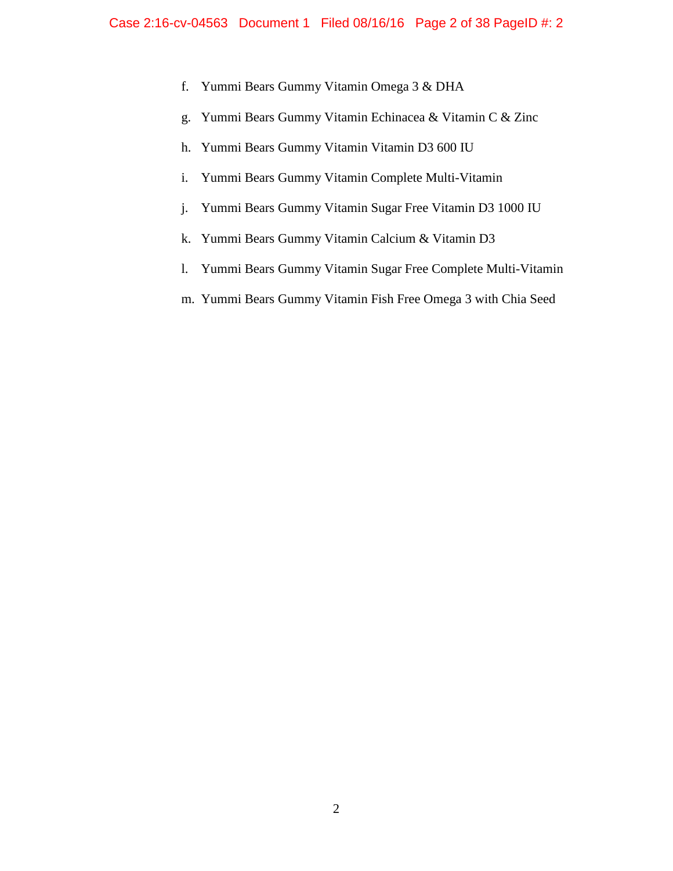- f. Yummi Bears Gummy Vitamin Omega 3 & DHA
- g. Yummi Bears Gummy Vitamin Echinacea & Vitamin C & Zinc
- h. Yummi Bears Gummy Vitamin Vitamin D3 600 IU
- i. Yummi Bears Gummy Vitamin Complete Multi-Vitamin
- j. Yummi Bears Gummy Vitamin Sugar Free Vitamin D3 1000 IU
- k. Yummi Bears Gummy Vitamin Calcium & Vitamin D3
- l. Yummi Bears Gummy Vitamin Sugar Free Complete Multi-Vitamin
- m. Yummi Bears Gummy Vitamin Fish Free Omega 3 with Chia Seed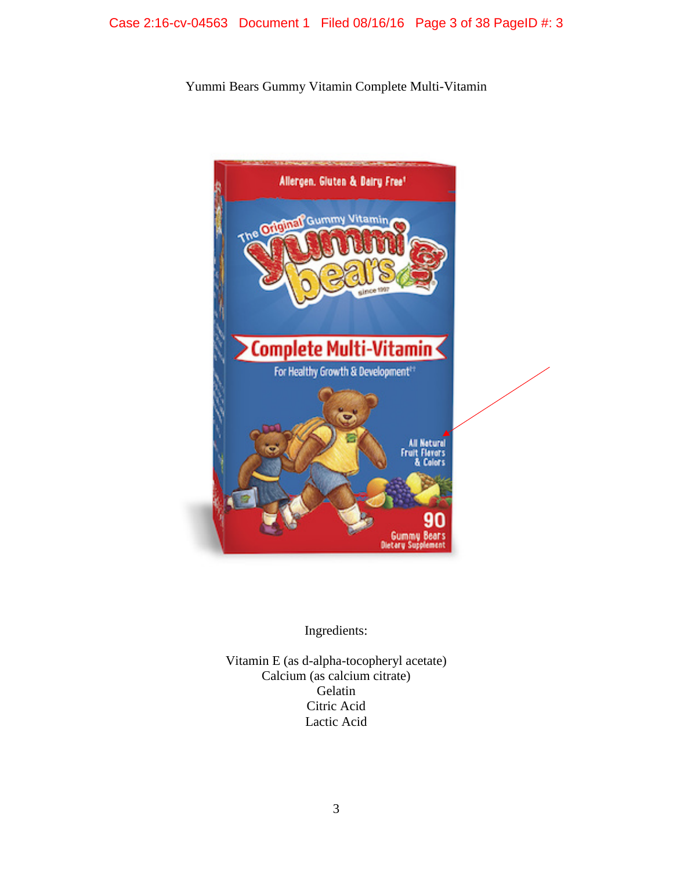Yummi Bears Gummy Vitamin Complete Multi-Vitamin



Ingredients:

Vitamin E (as d-alpha-tocopheryl acetate) Calcium (as calcium citrate) Gelatin Citric Acid Lactic Acid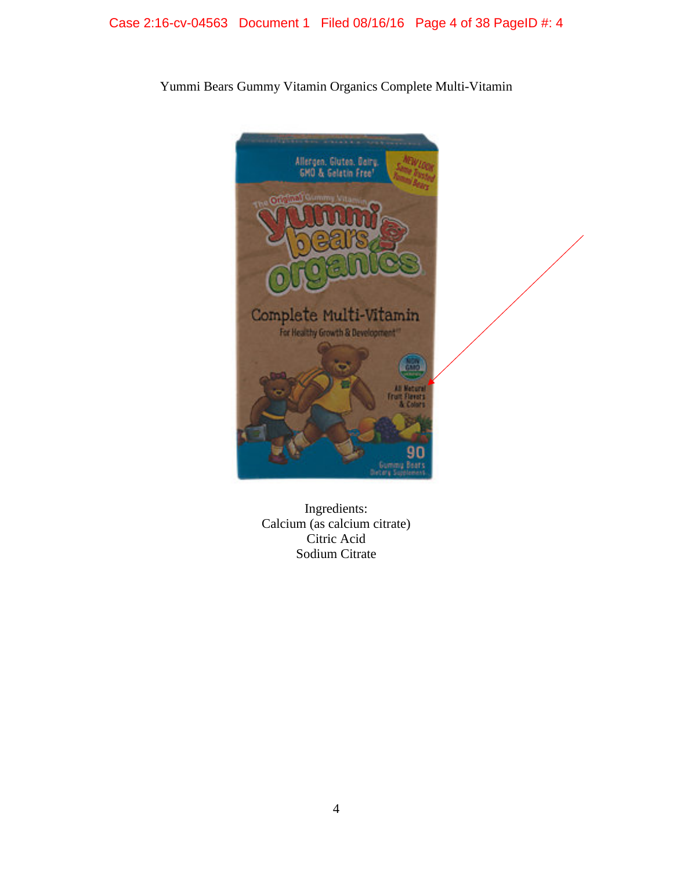

Yummi Bears Gummy Vitamin Organics Complete Multi-Vitamin

Ingredients: Calcium (as calcium citrate) Citric Acid Sodium Citrate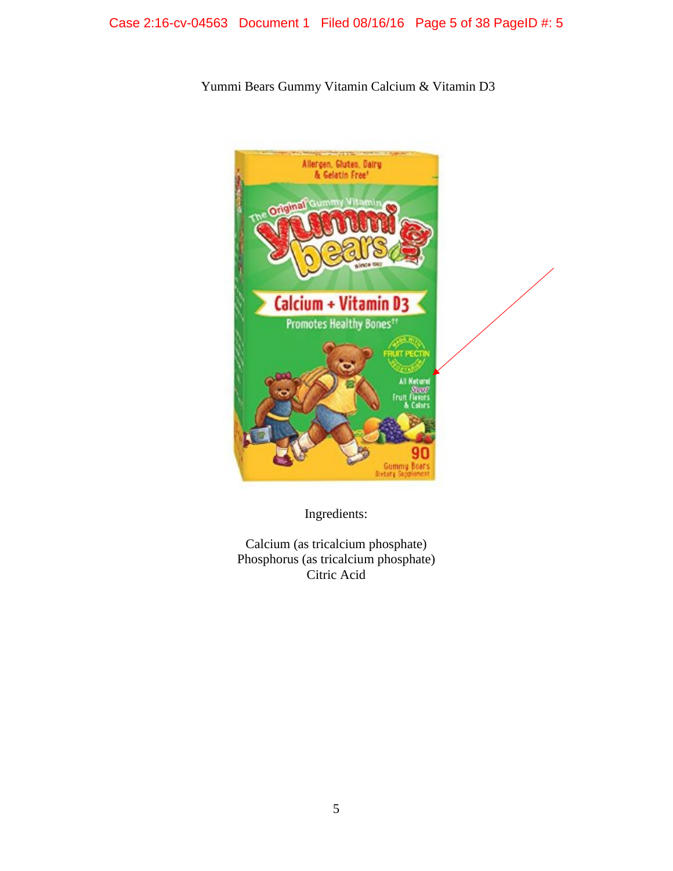# Case 2:16-cv-04563 Document 1 Filed 08/16/16 Page 5 of 38 PageID #: 5

Yummi Bears Gummy Vitamin Calcium & Vitamin D3



Ingredients:

Calcium (as tricalcium phosphate) Phosphorus (as tricalcium phosphate) Citric Acid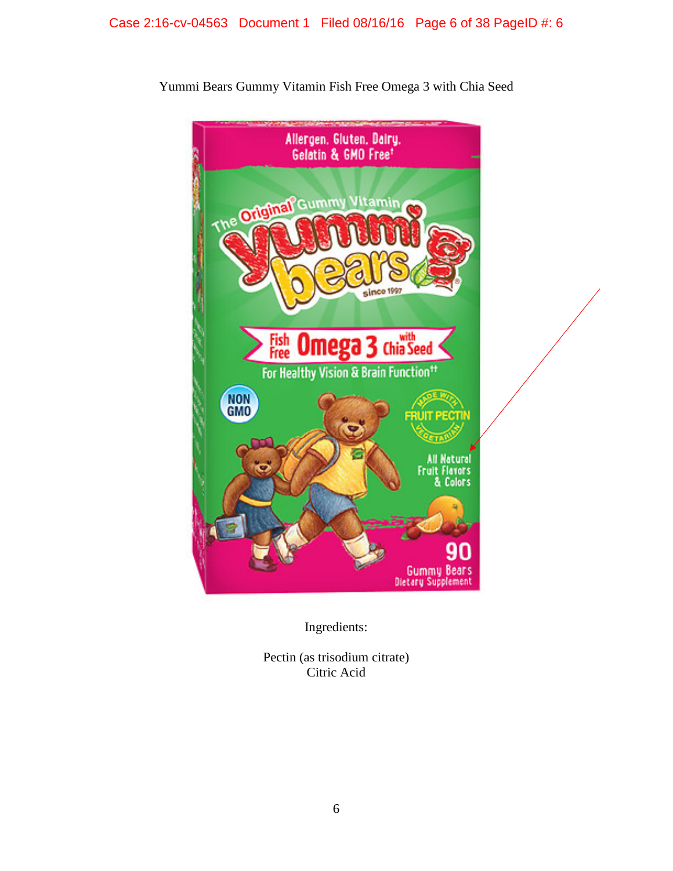

Yummi Bears Gummy Vitamin Fish Free Omega 3 with Chia Seed

Ingredients:

Pectin (as trisodium citrate) Citric Acid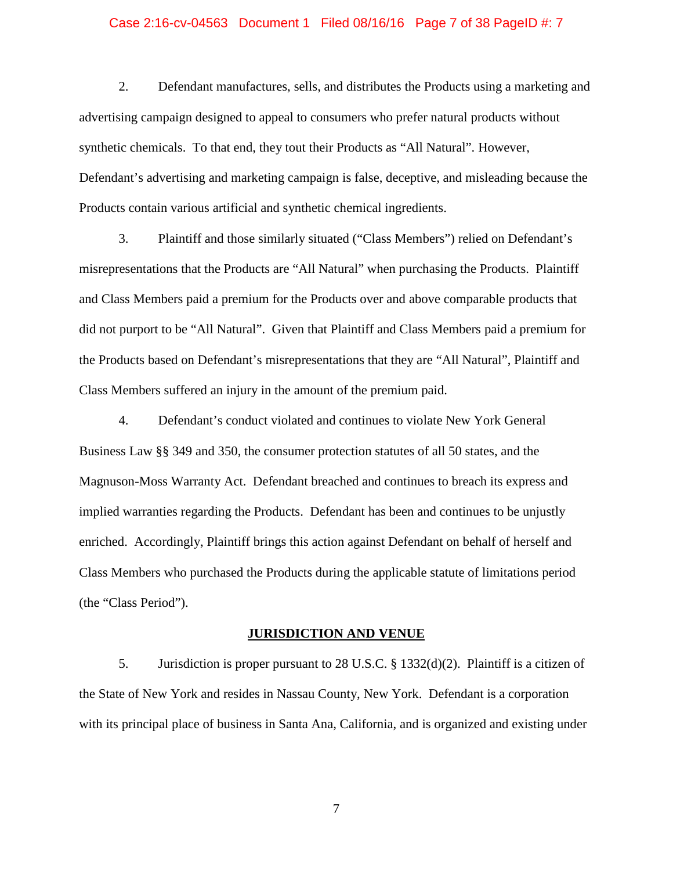### Case 2:16-cv-04563 Document 1 Filed 08/16/16 Page 7 of 38 PageID #: 7

2. Defendant manufactures, sells, and distributes the Products using a marketing and advertising campaign designed to appeal to consumers who prefer natural products without synthetic chemicals. To that end, they tout their Products as "All Natural". However, Defendant's advertising and marketing campaign is false, deceptive, and misleading because the Products contain various artificial and synthetic chemical ingredients.

3. Plaintiff and those similarly situated ("Class Members") relied on Defendant's misrepresentations that the Products are "All Natural" when purchasing the Products. Plaintiff and Class Members paid a premium for the Products over and above comparable products that did not purport to be "All Natural". Given that Plaintiff and Class Members paid a premium for the Products based on Defendant's misrepresentations that they are "All Natural", Plaintiff and Class Members suffered an injury in the amount of the premium paid.

4. Defendant's conduct violated and continues to violate New York General Business Law §§ 349 and 350, the consumer protection statutes of all 50 states, and the Magnuson-Moss Warranty Act. Defendant breached and continues to breach its express and implied warranties regarding the Products. Defendant has been and continues to be unjustly enriched. Accordingly, Plaintiff brings this action against Defendant on behalf of herself and Class Members who purchased the Products during the applicable statute of limitations period (the "Class Period").

#### **JURISDICTION AND VENUE**

5. Jurisdiction is proper pursuant to 28 U.S.C. § 1332(d)(2). Plaintiff is a citizen of the State of New York and resides in Nassau County, New York. Defendant is a corporation with its principal place of business in Santa Ana, California, and is organized and existing under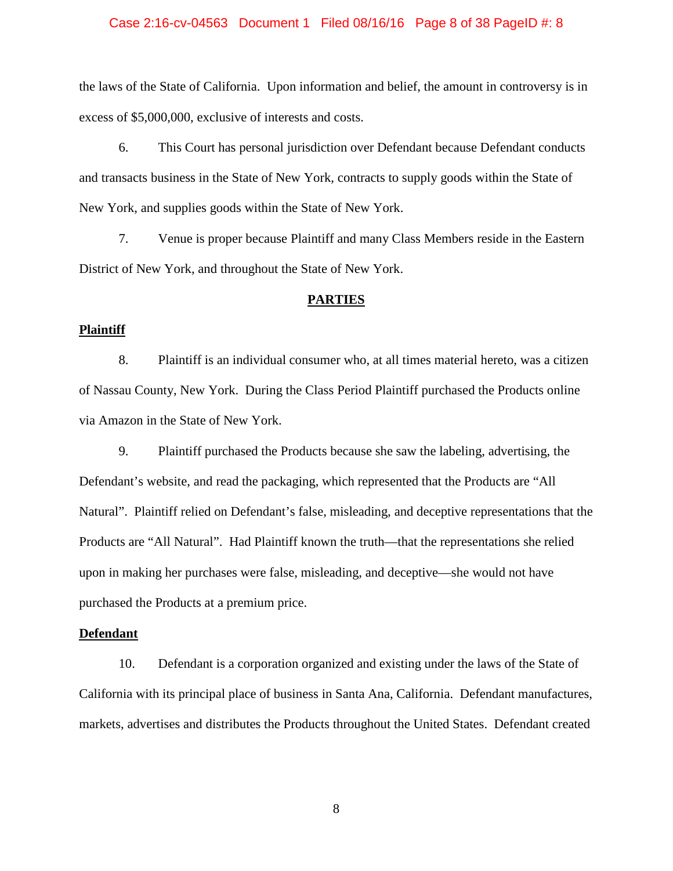### Case 2:16-cv-04563 Document 1 Filed 08/16/16 Page 8 of 38 PageID #: 8

the laws of the State of California. Upon information and belief, the amount in controversy is in excess of \$5,000,000, exclusive of interests and costs.

6. This Court has personal jurisdiction over Defendant because Defendant conducts and transacts business in the State of New York, contracts to supply goods within the State of New York, and supplies goods within the State of New York.

7. Venue is proper because Plaintiff and many Class Members reside in the Eastern District of New York, and throughout the State of New York.

### **PARTIES**

#### **Plaintiff**

8. Plaintiff is an individual consumer who, at all times material hereto, was a citizen of Nassau County, New York. During the Class Period Plaintiff purchased the Products online via Amazon in the State of New York.

9. Plaintiff purchased the Products because she saw the labeling, advertising, the Defendant's website, and read the packaging, which represented that the Products are "All Natural". Plaintiff relied on Defendant's false, misleading, and deceptive representations that the Products are "All Natural". Had Plaintiff known the truth—that the representations she relied upon in making her purchases were false, misleading, and deceptive—she would not have purchased the Products at a premium price.

#### **Defendant**

10. Defendant is a corporation organized and existing under the laws of the State of California with its principal place of business in Santa Ana, California. Defendant manufactures, markets, advertises and distributes the Products throughout the United States. Defendant created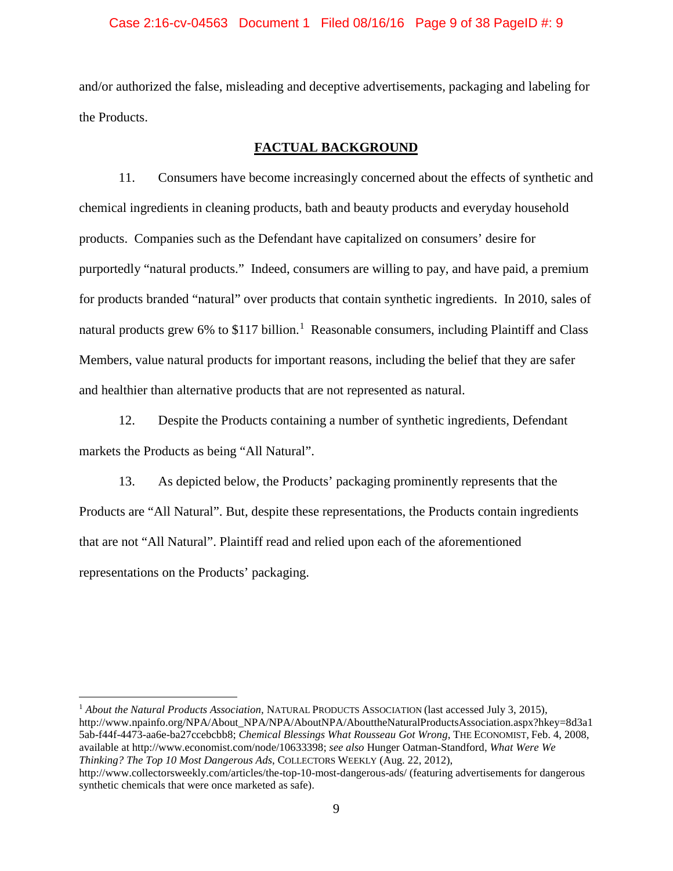### Case 2:16-cv-04563 Document 1 Filed 08/16/16 Page 9 of 38 PageID #: 9

and/or authorized the false, misleading and deceptive advertisements, packaging and labeling for the Products.

### **FACTUAL BACKGROUND**

11. Consumers have become increasingly concerned about the effects of synthetic and chemical ingredients in cleaning products, bath and beauty products and everyday household products. Companies such as the Defendant have capitalized on consumers' desire for purportedly "natural products." Indeed, consumers are willing to pay, and have paid, a premium for products branded "natural" over products that contain synthetic ingredients. In 2010, sales of natural products grew 6% to \$[1](#page-8-0)17 billion.<sup>1</sup> Reasonable consumers, including Plaintiff and Class Members, value natural products for important reasons, including the belief that they are safer and healthier than alternative products that are not represented as natural.

12. Despite the Products containing a number of synthetic ingredients, Defendant markets the Products as being "All Natural".

13. As depicted below, the Products' packaging prominently represents that the Products are "All Natural". But, despite these representations, the Products contain ingredients that are not "All Natural". Plaintiff read and relied upon each of the aforementioned representations on the Products' packaging.

<span id="page-8-0"></span> 1 *About the Natural Products Association,* NATURAL PRODUCTS ASSOCIATION (last accessed July 3, 2015), http://www.npainfo.org/NPA/About\_NPA/NPA/AboutNPA/AbouttheNaturalProductsAssociation.aspx?hkey=8d3a1 5ab-f44f-4473-aa6e-ba27ccebcbb8; *Chemical Blessings What Rousseau Got Wrong*, THE ECONOMIST, Feb. 4, 2008, available at http://www.economist.com/node/10633398; *see also* Hunger Oatman-Standford, *What Were We Thinking? The Top 10 Most Dangerous Ads*, COLLECTORS WEEKLY (Aug. 22, 2012), http://www.collectorsweekly.com/articles/the-top-10-most-dangerous-ads/ (featuring advertisements for dangerous

synthetic chemicals that were once marketed as safe).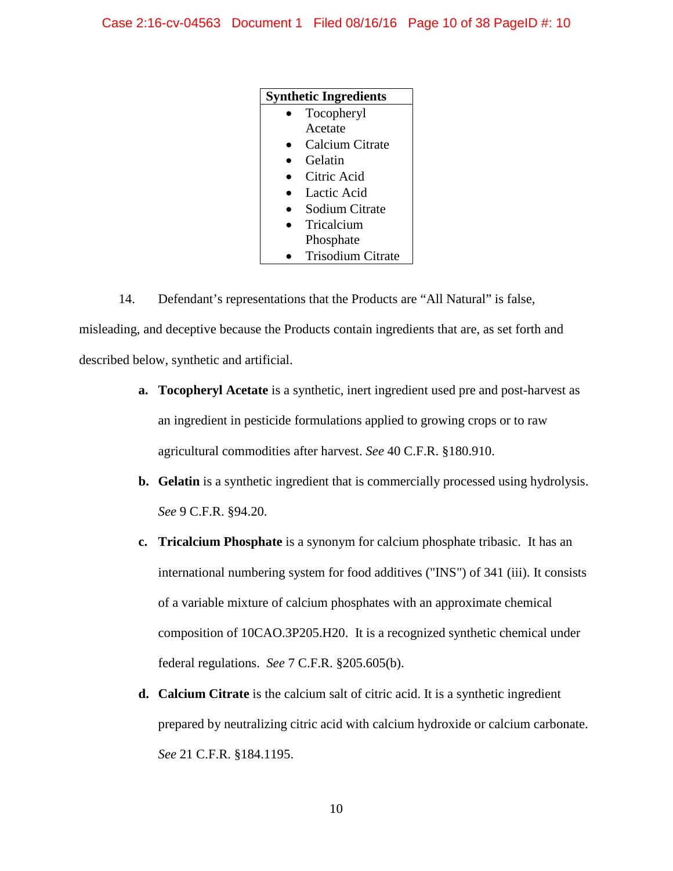| <b>Synthetic Ingredients</b> |                          |
|------------------------------|--------------------------|
|                              | Tocopheryl               |
|                              | Acetate                  |
|                              | Calcium Citrate          |
|                              | Gelatin                  |
|                              | Citric Acid              |
|                              | Lactic Acid              |
|                              | Sodium Citrate           |
|                              | Tricalcium               |
|                              | Phosphate                |
|                              | <b>Trisodium Citrate</b> |

14. Defendant's representations that the Products are "All Natural" is false, misleading, and deceptive because the Products contain ingredients that are, as set forth and described below, synthetic and artificial.

- **a. Tocopheryl Acetate** is a synthetic, inert ingredient used pre and post-harvest as an ingredient in pesticide formulations applied to growing crops or to raw agricultural commodities after harvest. *See* 40 C.F.R. §180.910.
- **b. Gelatin** is a synthetic ingredient that is commercially processed using hydrolysis. *See* 9 C.F.R. §94.20.
- **c. Tricalcium Phosphate** is a synonym for calcium phosphate tribasic. It has an international numbering system for food additives ("INS") of 341 (iii). It consists of a variable mixture of calcium phosphates with an approximate chemical composition of 10CAO.3P205.H20. It is a recognized synthetic chemical under federal regulations. *See* 7 C.F.R. §205.605(b).
- **d. Calcium Citrate** is the calcium salt of citric acid. It is a synthetic ingredient prepared by neutralizing citric acid with calcium hydroxide or calcium carbonate. *See* 21 C.F.R. §184.1195.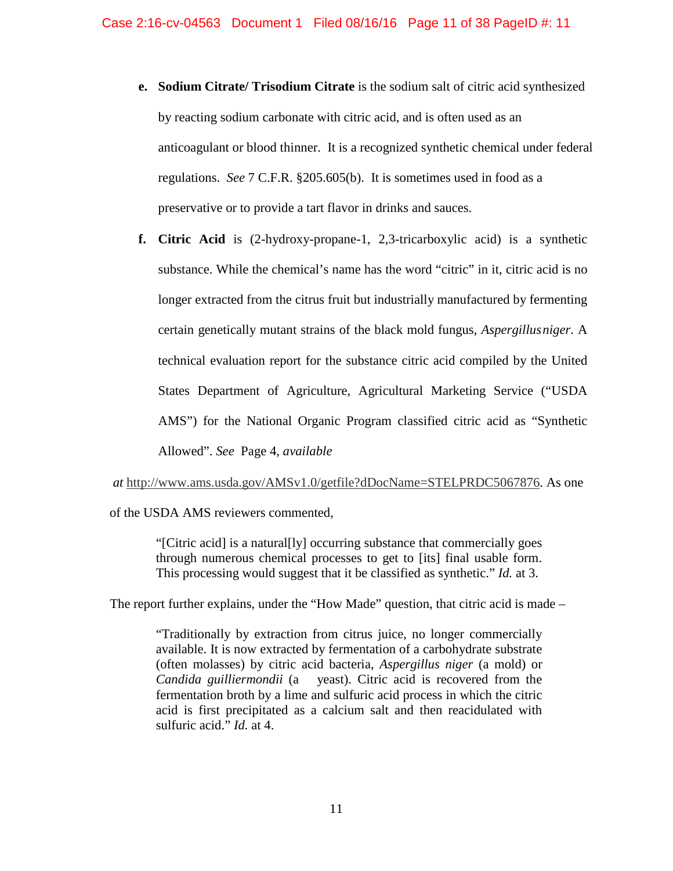- **e. Sodium Citrate/ Trisodium Citrate** is the sodium salt of citric acid synthesized by reacting sodium carbonate with citric acid, and is often used as an anticoagulant or blood thinner. It is a recognized synthetic chemical under federal regulations. *See* 7 C.F.R. §205.605(b). It is sometimes used in food as a preservative or to provide a tart flavor in drinks and sauces.
- **f. Citric Acid** is (2-hydroxy-propane-1, 2,3-tricarboxylic acid) is a synthetic substance. While the chemical's name has the word "citric" in it, citric acid is no longer extracted from the citrus fruit but industrially manufactured by fermenting certain genetically mutant strains of the black mold fungus, *Aspergillusniger*. A technical evaluation report for the substance citric acid compiled by the United States Department of Agriculture, Agricultural Marketing Service ("USDA AMS") for the National Organic Program classified citric acid as "Synthetic Allowed". *See* Page 4, *available*

*at* [http://www.ams.usda.gov/AMSv1.0/getfile?dDocName=STELPRDC5067876.](http://www.ams.usda.gov/AMSv1.0/getfile?dDocName=STELPRDC5067876) As one

of the USDA AMS reviewers commented,

"[Citric acid] is a natural[ly] occurring substance that commercially goes through numerous chemical processes to get to [its] final usable form. This processing would suggest that it be classified as synthetic." *Id.* at 3.

The report further explains, under the "How Made" question, that citric acid is made –

"Traditionally by extraction from citrus juice, no longer commercially available. It is now extracted by fermentation of a carbohydrate substrate (often molasses) by citric acid bacteria, *Aspergillus niger* (a mold) or *Candida guilliermondii* (a yeast). Citric acid is recovered from the fermentation broth by a lime and sulfuric acid process in which the citric acid is first precipitated as a calcium salt and then reacidulated with sulfuric acid." *Id.* at 4.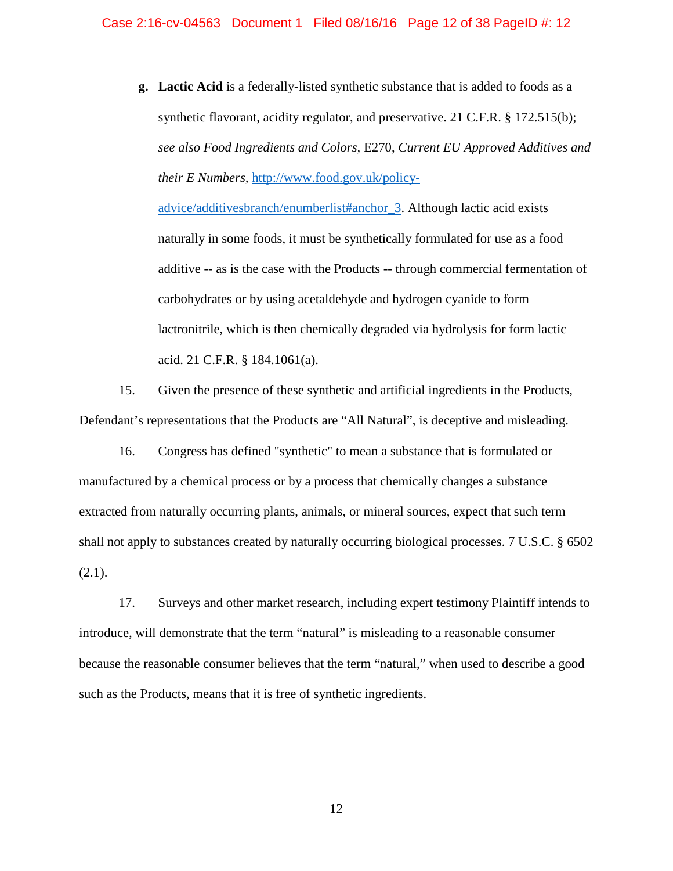**g. Lactic Acid** is a federally-listed synthetic substance that is added to foods as a synthetic flavorant, acidity regulator, and preservative. 21 C.F.R. § 172.515(b); *see also Food Ingredients and Colors,* E270, *Current EU Approved Additives and their E Numbers,* [http://www.food.gov.uk/policy-](http://www.food.gov.uk/policy-advice/additivesbranch/enumberlist)

[advice/additivesbranch/enumberlist#anchor\\_3.](http://www.food.gov.uk/policy-advice/additivesbranch/enumberlist) Although lactic acid exists naturally in some foods, it must be synthetically formulated for use as a food additive -- as is the case with the Products -- through commercial fermentation of carbohydrates or by using acetaldehyde and hydrogen cyanide to form lactronitrile, which is then chemically degraded via hydrolysis for form lactic acid. 21 C.F.R. § 184.1061(a).

15. Given the presence of these synthetic and artificial ingredients in the Products, Defendant's representations that the Products are "All Natural", is deceptive and misleading.

16. Congress has defined "synthetic" to mean a substance that is formulated or manufactured by a chemical process or by a process that chemically changes a substance extracted from naturally occurring plants, animals, or mineral sources, expect that such term shall not apply to substances created by naturally occurring biological processes. 7 U.S.C. § 6502 (2.1).

17. Surveys and other market research, including expert testimony Plaintiff intends to introduce, will demonstrate that the term "natural" is misleading to a reasonable consumer because the reasonable consumer believes that the term "natural," when used to describe a good such as the Products, means that it is free of synthetic ingredients.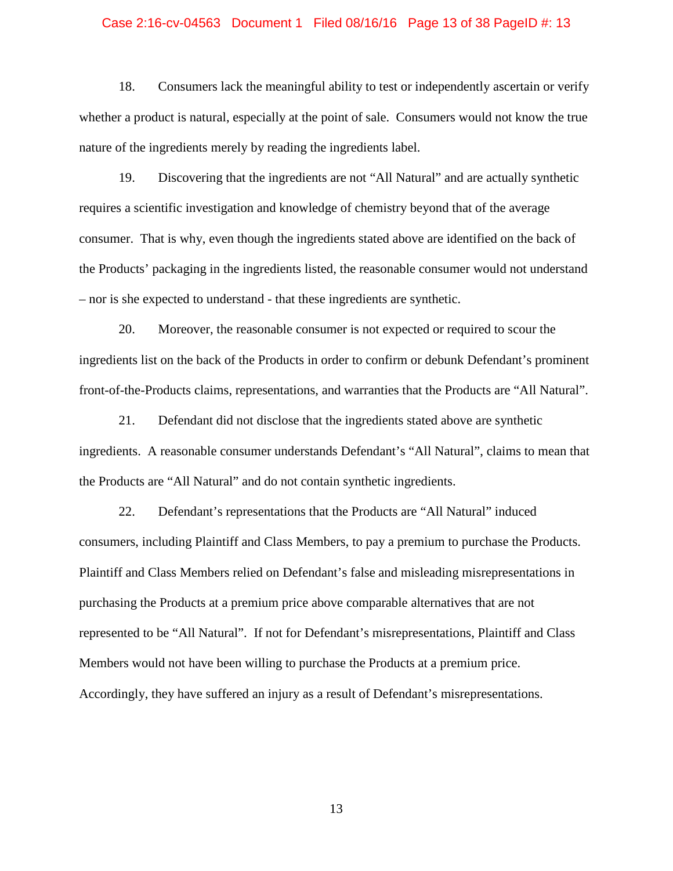#### Case 2:16-cv-04563 Document 1 Filed 08/16/16 Page 13 of 38 PageID #: 13

18. Consumers lack the meaningful ability to test or independently ascertain or verify whether a product is natural, especially at the point of sale. Consumers would not know the true nature of the ingredients merely by reading the ingredients label.

19. Discovering that the ingredients are not "All Natural" and are actually synthetic requires a scientific investigation and knowledge of chemistry beyond that of the average consumer. That is why, even though the ingredients stated above are identified on the back of the Products' packaging in the ingredients listed, the reasonable consumer would not understand – nor is she expected to understand - that these ingredients are synthetic.

20. Moreover, the reasonable consumer is not expected or required to scour the ingredients list on the back of the Products in order to confirm or debunk Defendant's prominent front-of-the-Products claims, representations, and warranties that the Products are "All Natural".

21. Defendant did not disclose that the ingredients stated above are synthetic ingredients. A reasonable consumer understands Defendant's "All Natural", claims to mean that the Products are "All Natural" and do not contain synthetic ingredients.

22. Defendant's representations that the Products are "All Natural" induced consumers, including Plaintiff and Class Members, to pay a premium to purchase the Products. Plaintiff and Class Members relied on Defendant's false and misleading misrepresentations in purchasing the Products at a premium price above comparable alternatives that are not represented to be "All Natural". If not for Defendant's misrepresentations, Plaintiff and Class Members would not have been willing to purchase the Products at a premium price. Accordingly, they have suffered an injury as a result of Defendant's misrepresentations.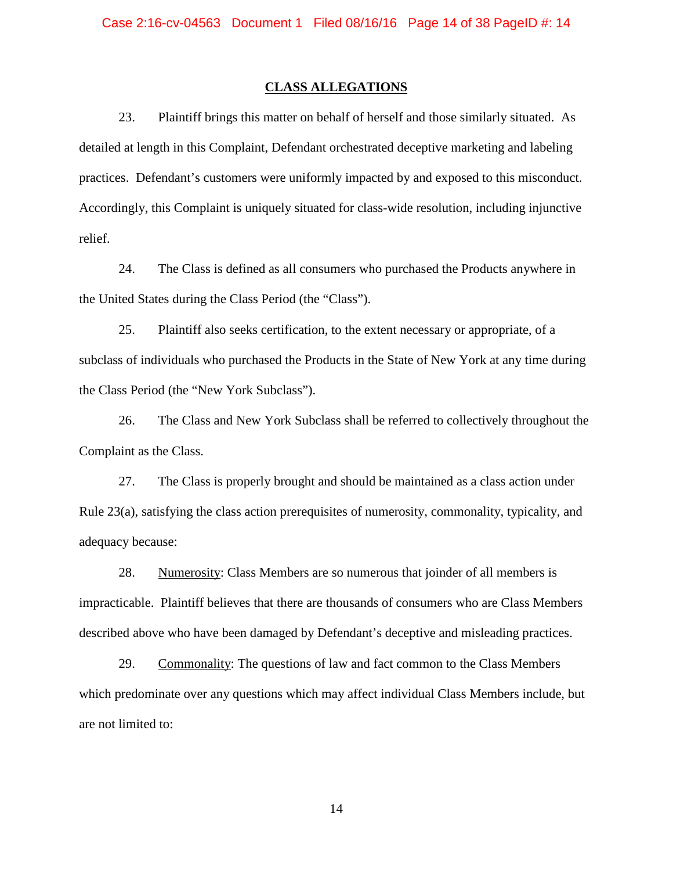### **CLASS ALLEGATIONS**

23. Plaintiff brings this matter on behalf of herself and those similarly situated. As detailed at length in this Complaint, Defendant orchestrated deceptive marketing and labeling practices. Defendant's customers were uniformly impacted by and exposed to this misconduct. Accordingly, this Complaint is uniquely situated for class-wide resolution, including injunctive relief.

24. The Class is defined as all consumers who purchased the Products anywhere in the United States during the Class Period (the "Class").

25. Plaintiff also seeks certification, to the extent necessary or appropriate, of a subclass of individuals who purchased the Products in the State of New York at any time during the Class Period (the "New York Subclass").

26. The Class and New York Subclass shall be referred to collectively throughout the Complaint as the Class.

27. The Class is properly brought and should be maintained as a class action under Rule 23(a), satisfying the class action prerequisites of numerosity, commonality, typicality, and adequacy because:

28. Numerosity: Class Members are so numerous that joinder of all members is impracticable. Plaintiff believes that there are thousands of consumers who are Class Members described above who have been damaged by Defendant's deceptive and misleading practices.

29. Commonality: The questions of law and fact common to the Class Members which predominate over any questions which may affect individual Class Members include, but are not limited to: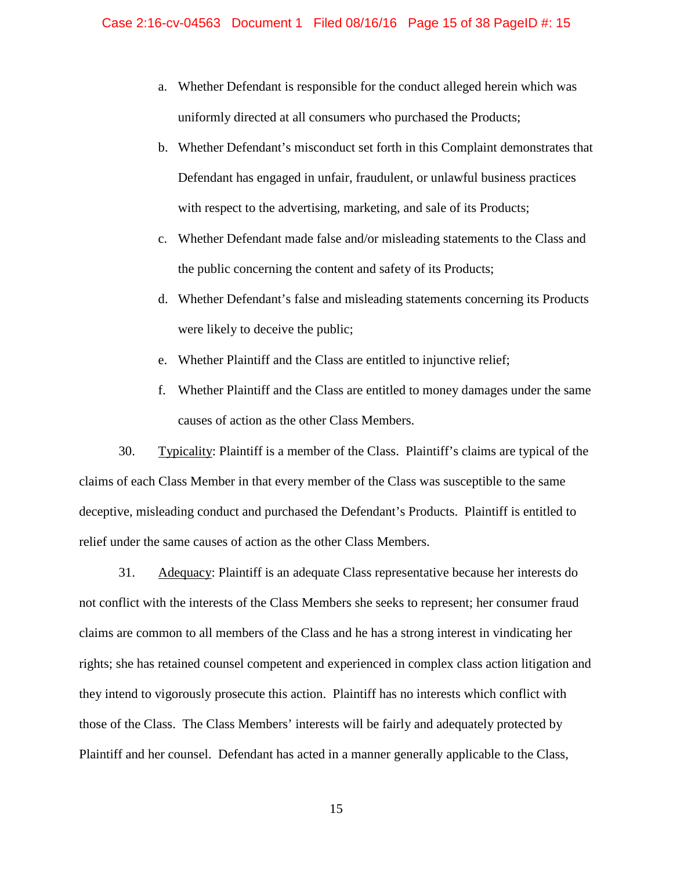- a. Whether Defendant is responsible for the conduct alleged herein which was uniformly directed at all consumers who purchased the Products;
- b. Whether Defendant's misconduct set forth in this Complaint demonstrates that Defendant has engaged in unfair, fraudulent, or unlawful business practices with respect to the advertising, marketing, and sale of its Products;
- c. Whether Defendant made false and/or misleading statements to the Class and the public concerning the content and safety of its Products;
- d. Whether Defendant's false and misleading statements concerning its Products were likely to deceive the public;
- e. Whether Plaintiff and the Class are entitled to injunctive relief;
- f. Whether Plaintiff and the Class are entitled to money damages under the same causes of action as the other Class Members.

30. Typicality: Plaintiff is a member of the Class. Plaintiff's claims are typical of the claims of each Class Member in that every member of the Class was susceptible to the same deceptive, misleading conduct and purchased the Defendant's Products. Plaintiff is entitled to relief under the same causes of action as the other Class Members.

31. Adequacy: Plaintiff is an adequate Class representative because her interests do not conflict with the interests of the Class Members she seeks to represent; her consumer fraud claims are common to all members of the Class and he has a strong interest in vindicating her rights; she has retained counsel competent and experienced in complex class action litigation and they intend to vigorously prosecute this action. Plaintiff has no interests which conflict with those of the Class. The Class Members' interests will be fairly and adequately protected by Plaintiff and her counsel. Defendant has acted in a manner generally applicable to the Class,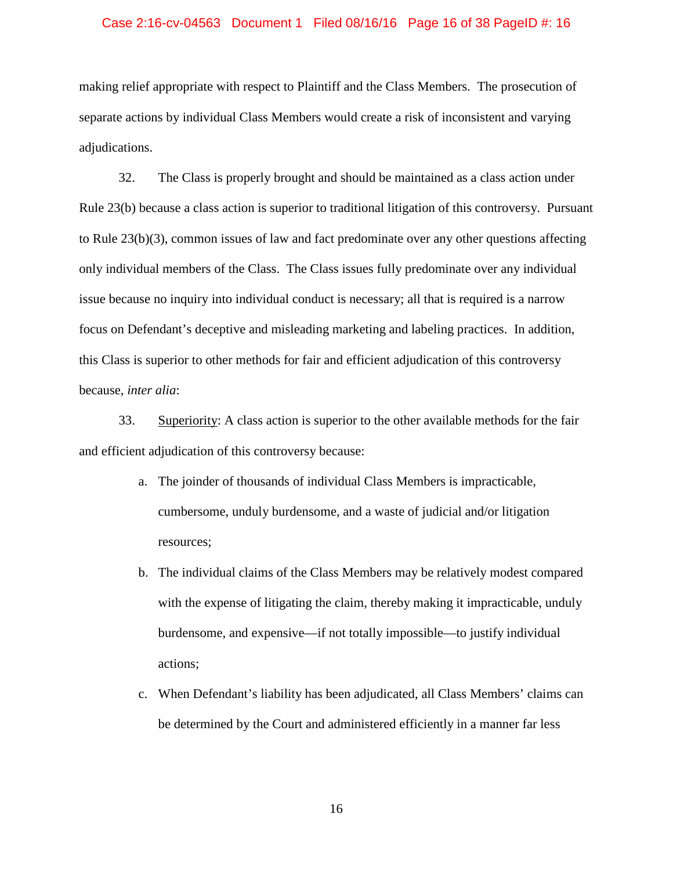#### Case 2:16-cv-04563 Document 1 Filed 08/16/16 Page 16 of 38 PageID #: 16

making relief appropriate with respect to Plaintiff and the Class Members. The prosecution of separate actions by individual Class Members would create a risk of inconsistent and varying adjudications.

32. The Class is properly brought and should be maintained as a class action under Rule 23(b) because a class action is superior to traditional litigation of this controversy. Pursuant to Rule 23(b)(3), common issues of law and fact predominate over any other questions affecting only individual members of the Class. The Class issues fully predominate over any individual issue because no inquiry into individual conduct is necessary; all that is required is a narrow focus on Defendant's deceptive and misleading marketing and labeling practices. In addition, this Class is superior to other methods for fair and efficient adjudication of this controversy because, *inter alia*:

33. Superiority: A class action is superior to the other available methods for the fair and efficient adjudication of this controversy because:

- a. The joinder of thousands of individual Class Members is impracticable, cumbersome, unduly burdensome, and a waste of judicial and/or litigation resources;
- b. The individual claims of the Class Members may be relatively modest compared with the expense of litigating the claim, thereby making it impracticable, unduly burdensome, and expensive—if not totally impossible—to justify individual actions;
- c. When Defendant's liability has been adjudicated, all Class Members' claims can be determined by the Court and administered efficiently in a manner far less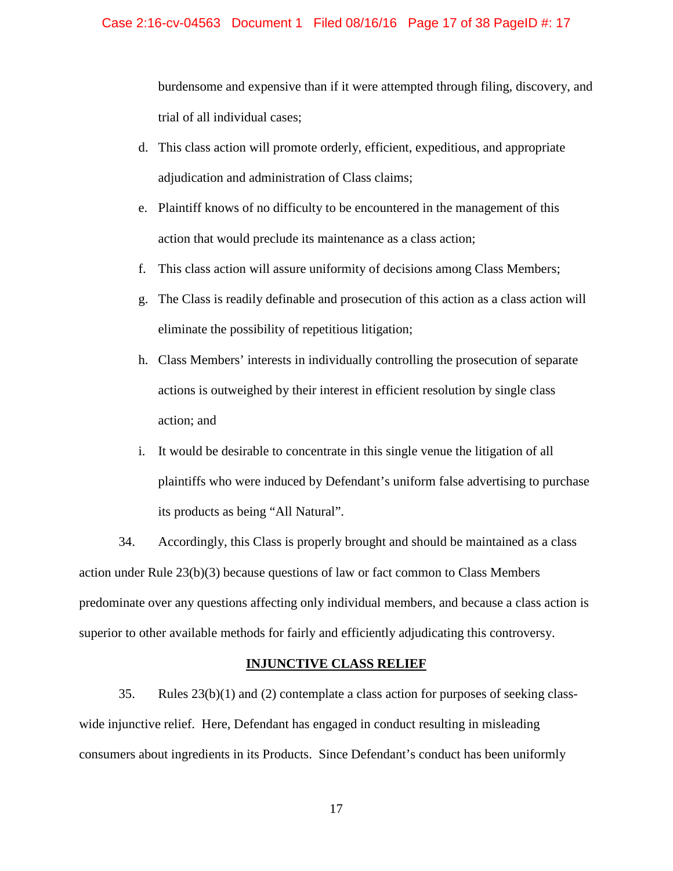### Case 2:16-cv-04563 Document 1 Filed 08/16/16 Page 17 of 38 PageID #: 17

burdensome and expensive than if it were attempted through filing, discovery, and trial of all individual cases;

- d. This class action will promote orderly, efficient, expeditious, and appropriate adjudication and administration of Class claims;
- e. Plaintiff knows of no difficulty to be encountered in the management of this action that would preclude its maintenance as a class action;
- f. This class action will assure uniformity of decisions among Class Members;
- g. The Class is readily definable and prosecution of this action as a class action will eliminate the possibility of repetitious litigation;
- h. Class Members' interests in individually controlling the prosecution of separate actions is outweighed by their interest in efficient resolution by single class action; and
- i. It would be desirable to concentrate in this single venue the litigation of all plaintiffs who were induced by Defendant's uniform false advertising to purchase its products as being "All Natural".

34. Accordingly, this Class is properly brought and should be maintained as a class action under Rule  $23(b)(3)$  because questions of law or fact common to Class Members predominate over any questions affecting only individual members, and because a class action is superior to other available methods for fairly and efficiently adjudicating this controversy.

### **INJUNCTIVE CLASS RELIEF**

35. Rules 23(b)(1) and (2) contemplate a class action for purposes of seeking classwide injunctive relief. Here, Defendant has engaged in conduct resulting in misleading consumers about ingredients in its Products. Since Defendant's conduct has been uniformly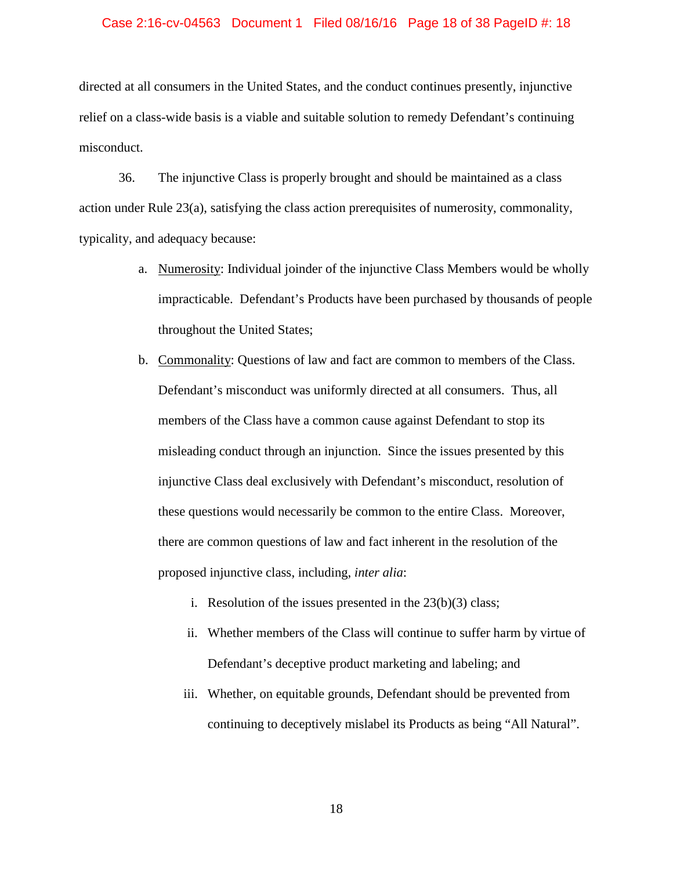#### Case 2:16-cv-04563 Document 1 Filed 08/16/16 Page 18 of 38 PageID #: 18

directed at all consumers in the United States, and the conduct continues presently, injunctive relief on a class-wide basis is a viable and suitable solution to remedy Defendant's continuing misconduct.

36. The injunctive Class is properly brought and should be maintained as a class action under Rule 23(a), satisfying the class action prerequisites of numerosity, commonality, typicality, and adequacy because:

- a. Numerosity: Individual joinder of the injunctive Class Members would be wholly impracticable. Defendant's Products have been purchased by thousands of people throughout the United States;
- b. Commonality: Questions of law and fact are common to members of the Class. Defendant's misconduct was uniformly directed at all consumers. Thus, all members of the Class have a common cause against Defendant to stop its misleading conduct through an injunction. Since the issues presented by this injunctive Class deal exclusively with Defendant's misconduct, resolution of these questions would necessarily be common to the entire Class. Moreover, there are common questions of law and fact inherent in the resolution of the proposed injunctive class, including, *inter alia*:
	- i. Resolution of the issues presented in the  $23(b)(3)$  class;
	- ii. Whether members of the Class will continue to suffer harm by virtue of Defendant's deceptive product marketing and labeling; and
	- iii. Whether, on equitable grounds, Defendant should be prevented from continuing to deceptively mislabel its Products as being "All Natural".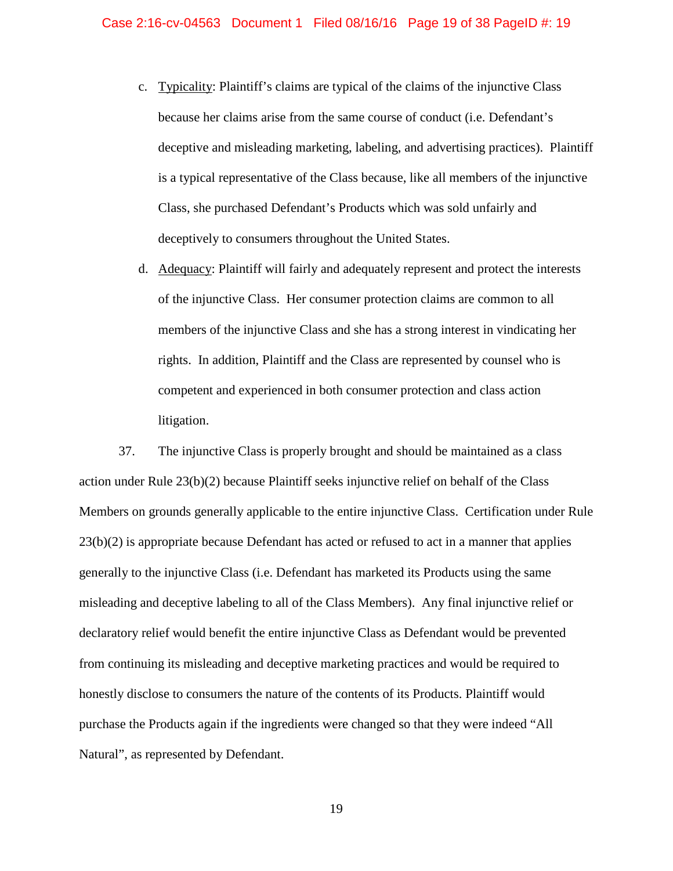- c. Typicality: Plaintiff's claims are typical of the claims of the injunctive Class because her claims arise from the same course of conduct (i.e. Defendant's deceptive and misleading marketing, labeling, and advertising practices). Plaintiff is a typical representative of the Class because, like all members of the injunctive Class, she purchased Defendant's Products which was sold unfairly and deceptively to consumers throughout the United States.
- d. Adequacy: Plaintiff will fairly and adequately represent and protect the interests of the injunctive Class. Her consumer protection claims are common to all members of the injunctive Class and she has a strong interest in vindicating her rights. In addition, Plaintiff and the Class are represented by counsel who is competent and experienced in both consumer protection and class action litigation.

37. The injunctive Class is properly brought and should be maintained as a class action under Rule 23(b)(2) because Plaintiff seeks injunctive relief on behalf of the Class Members on grounds generally applicable to the entire injunctive Class. Certification under Rule 23(b)(2) is appropriate because Defendant has acted or refused to act in a manner that applies generally to the injunctive Class (i.e. Defendant has marketed its Products using the same misleading and deceptive labeling to all of the Class Members). Any final injunctive relief or declaratory relief would benefit the entire injunctive Class as Defendant would be prevented from continuing its misleading and deceptive marketing practices and would be required to honestly disclose to consumers the nature of the contents of its Products. Plaintiff would purchase the Products again if the ingredients were changed so that they were indeed "All Natural", as represented by Defendant.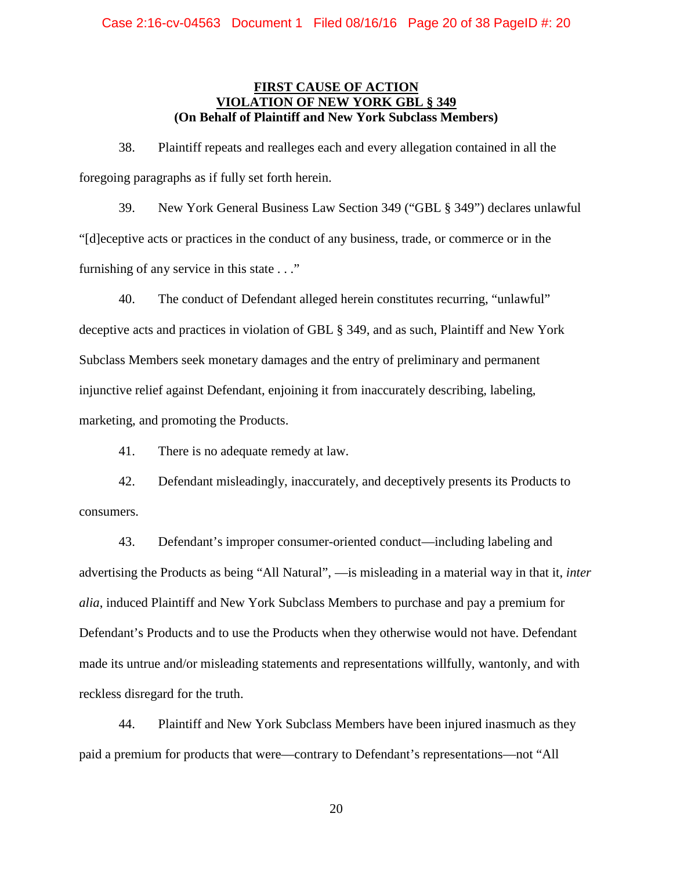# **FIRST CAUSE OF ACTION VIOLATION OF NEW YORK GBI (On Behalf of Plaintiff and New York Subclass Members)**

38. Plaintiff repeats and realleges each and every allegation contained in all the foregoing paragraphs as if fully set forth herein.

39. New York General Business Law Section 349 ("GBL § 349") declares unlawful "[d]eceptive acts or practices in the conduct of any business, trade, or commerce or in the furnishing of any service in this state . . ."

40. The conduct of Defendant alleged herein constitutes recurring, "unlawful" deceptive acts and practices in violation of GBL § 349, and as such, Plaintiff and New York Subclass Members seek monetary damages and the entry of preliminary and permanent injunctive relief against Defendant, enjoining it from inaccurately describing, labeling, marketing, and promoting the Products.

41. There is no adequate remedy at law.

42. Defendant misleadingly, inaccurately, and deceptively presents its Products to consumers.

43. Defendant's improper consumer-oriented conduct—including labeling and advertising the Products as being "All Natural", —is misleading in a material way in that it, *inter alia*, induced Plaintiff and New York Subclass Members to purchase and pay a premium for Defendant's Products and to use the Products when they otherwise would not have. Defendant made its untrue and/or misleading statements and representations willfully, wantonly, and with reckless disregard for the truth.

44. Plaintiff and New York Subclass Members have been injured inasmuch as they paid a premium for products that were—contrary to Defendant's representations—not "All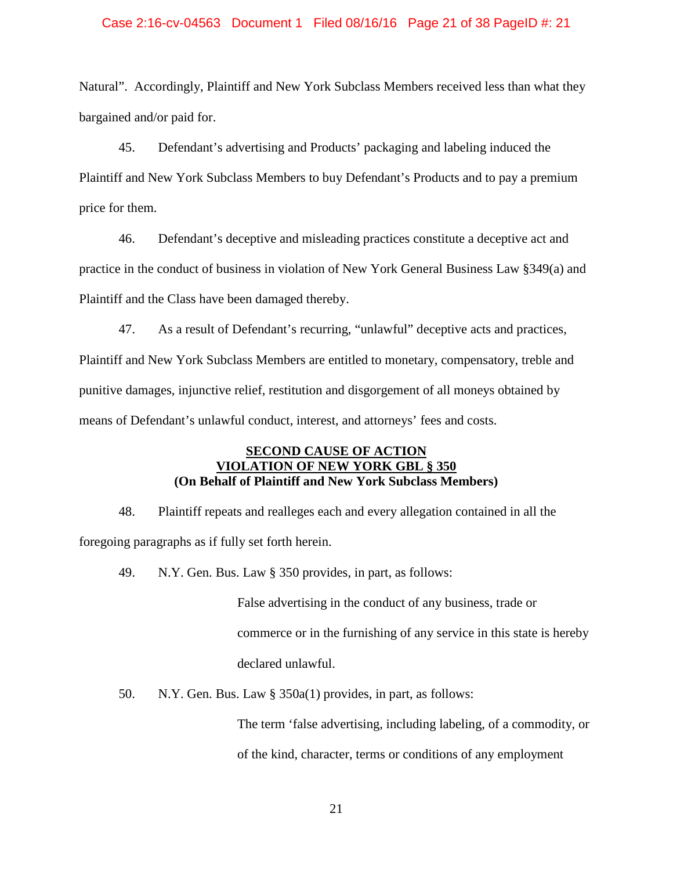### Case 2:16-cv-04563 Document 1 Filed 08/16/16 Page 21 of 38 PageID #: 21

Natural". Accordingly, Plaintiff and New York Subclass Members received less than what they bargained and/or paid for.

45. Defendant's advertising and Products' packaging and labeling induced the Plaintiff and New York Subclass Members to buy Defendant's Products and to pay a premium price for them.

46. Defendant's deceptive and misleading practices constitute a deceptive act and practice in the conduct of business in violation of New York General Business Law §349(a) and Plaintiff and the Class have been damaged thereby.

47. As a result of Defendant's recurring, "unlawful" deceptive acts and practices, Plaintiff and New York Subclass Members are entitled to monetary, compensatory, treble and punitive damages, injunctive relief, restitution and disgorgement of all moneys obtained by means of Defendant's unlawful conduct, interest, and attorneys' fees and costs.

## **SECOND CAUSE OF ACTION VIOLATION OF NEW YORK GBL § 350 (On Behalf of Plaintiff and New York Subclass Members)**

48. Plaintiff repeats and realleges each and every allegation contained in all the foregoing paragraphs as if fully set forth herein.

49. N.Y. Gen. Bus. Law § 350 provides, in part, as follows:

False advertising in the conduct of any business, trade or commerce or in the furnishing of any service in this state is hereby declared unlawful.

50. N.Y. Gen. Bus. Law § 350a(1) provides, in part, as follows:

The term 'false advertising, including labeling, of a commodity, or of the kind, character, terms or conditions of any employment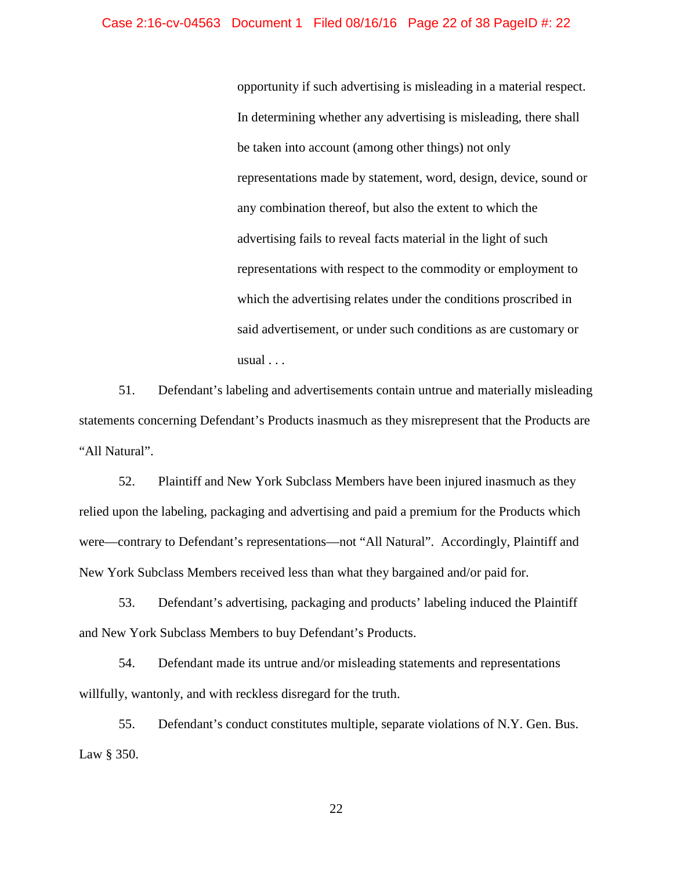## Case 2:16-cv-04563 Document 1 Filed 08/16/16 Page 22 of 38 PageID #: 22

opportunity if such advertising is misleading in a material respect. In determining whether any advertising is misleading, there shall be taken into account (among other things) not only representations made by statement, word, design, device, sound or any combination thereof, but also the extent to which the advertising fails to reveal facts material in the light of such representations with respect to the commodity or employment to which the advertising relates under the conditions proscribed in said advertisement, or under such conditions as are customary or usual . . .

51. Defendant's labeling and advertisements contain untrue and materially misleading statements concerning Defendant's Products inasmuch as they misrepresent that the Products are "All Natural".

52. Plaintiff and New York Subclass Members have been injured inasmuch as they relied upon the labeling, packaging and advertising and paid a premium for the Products which were—contrary to Defendant's representations—not "All Natural". Accordingly, Plaintiff and New York Subclass Members received less than what they bargained and/or paid for.

53. Defendant's advertising, packaging and products' labeling induced the Plaintiff and New York Subclass Members to buy Defendant's Products.

54. Defendant made its untrue and/or misleading statements and representations willfully, wantonly, and with reckless disregard for the truth.

55. Defendant's conduct constitutes multiple, separate violations of N.Y. Gen. Bus. Law § 350.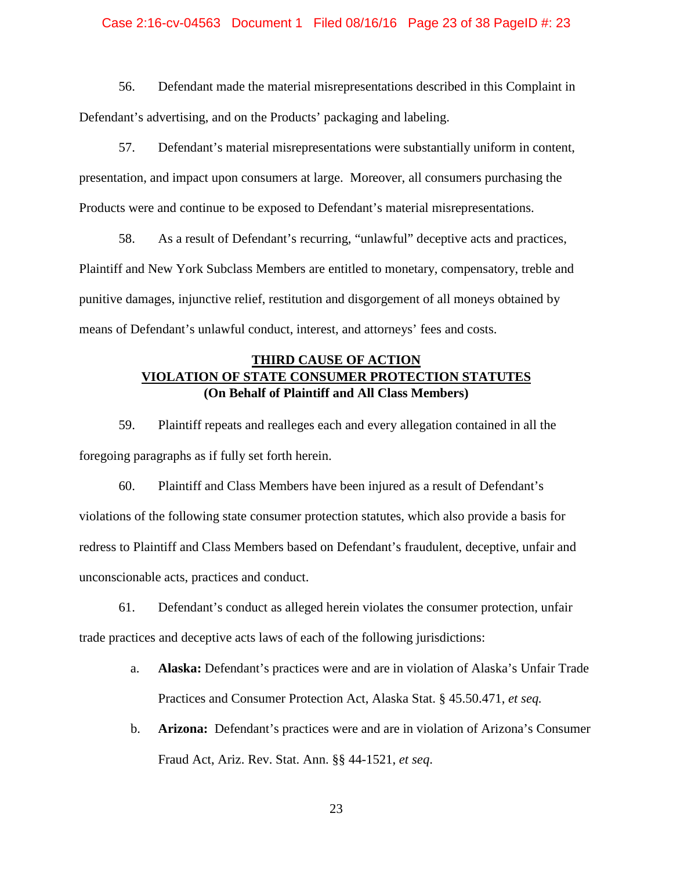### Case 2:16-cv-04563 Document 1 Filed 08/16/16 Page 23 of 38 PageID #: 23

56. Defendant made the material misrepresentations described in this Complaint in Defendant's advertising, and on the Products' packaging and labeling.

57. Defendant's material misrepresentations were substantially uniform in content, presentation, and impact upon consumers at large. Moreover, all consumers purchasing the Products were and continue to be exposed to Defendant's material misrepresentations.

58. As a result of Defendant's recurring, "unlawful" deceptive acts and practices, Plaintiff and New York Subclass Members are entitled to monetary, compensatory, treble and punitive damages, injunctive relief, restitution and disgorgement of all moneys obtained by means of Defendant's unlawful conduct, interest, and attorneys' fees and costs.

# **THIRD CAUSE OF ACTION VIOLATION OF STATE CONSUMER PROTECTION STATUTES (On Behalf of Plaintiff and All Class Members)**

59. Plaintiff repeats and realleges each and every allegation contained in all the foregoing paragraphs as if fully set forth herein.

60. Plaintiff and Class Members have been injured as a result of Defendant's violations of the following state consumer protection statutes, which also provide a basis for redress to Plaintiff and Class Members based on Defendant's fraudulent, deceptive, unfair and unconscionable acts, practices and conduct.

61. Defendant's conduct as alleged herein violates the consumer protection, unfair trade practices and deceptive acts laws of each of the following jurisdictions:

- a. **Alaska:** Defendant's practices were and are in violation of Alaska's Unfair Trade Practices and Consumer Protection Act, Alaska Stat. § 45.50.471, *et seq.*
- b. **Arizona:** Defendant's practices were and are in violation of Arizona's Consumer Fraud Act, Ariz. Rev. Stat. Ann. §§ 44-1521, *et seq*.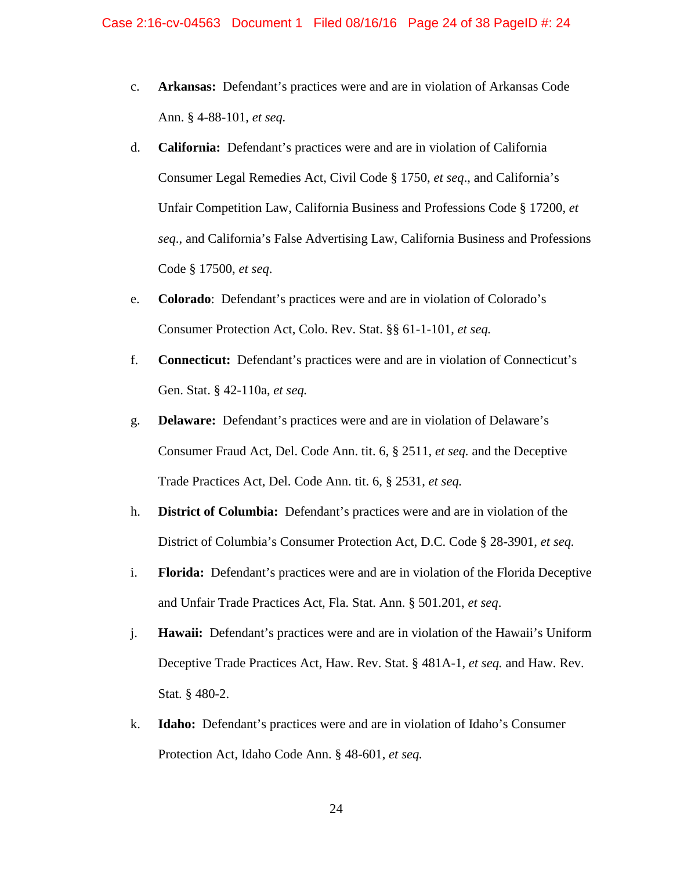- c. **Arkansas:** Defendant's practices were and are in violation of Arkansas Code Ann. § 4-88-101, *et seq.*
- d. **California:** Defendant's practices were and are in violation of California Consumer Legal Remedies Act, Civil Code § 1750, *et seq*., and California's Unfair Competition Law, California Business and Professions Code § 17200, *et seq*., and California's False Advertising Law, California Business and Professions Code § 17500, *et seq*.
- e. **Colorado**: Defendant's practices were and are in violation of Colorado's Consumer Protection Act, Colo. Rev. Stat. §§ 61-1-101, *et seq.*
- f. **Connecticut:** Defendant's practices were and are in violation of Connecticut's Gen. Stat. § 42-110a, *et seq.*
- g. **Delaware:** Defendant's practices were and are in violation of Delaware's Consumer Fraud Act, Del. Code Ann. tit. 6, § 2511, *et seq.* and the Deceptive Trade Practices Act, Del. Code Ann. tit. 6, § 2531, *et seq.*
- h. **District of Columbia:** Defendant's practices were and are in violation of the District of Columbia's Consumer Protection Act, D.C. Code § 28-3901, *et seq.*
- i. **Florida:** Defendant's practices were and are in violation of the Florida Deceptive and Unfair Trade Practices Act, Fla. Stat. Ann. § 501.201, *et seq*.
- j. **Hawaii:** Defendant's practices were and are in violation of the Hawaii's Uniform Deceptive Trade Practices Act, Haw. Rev. Stat. § 481A-1, *et seq.* and Haw. Rev. Stat. § 480-2.
- k. **Idaho:** Defendant's practices were and are in violation of Idaho's Consumer Protection Act, Idaho Code Ann. § 48-601, *et seq.*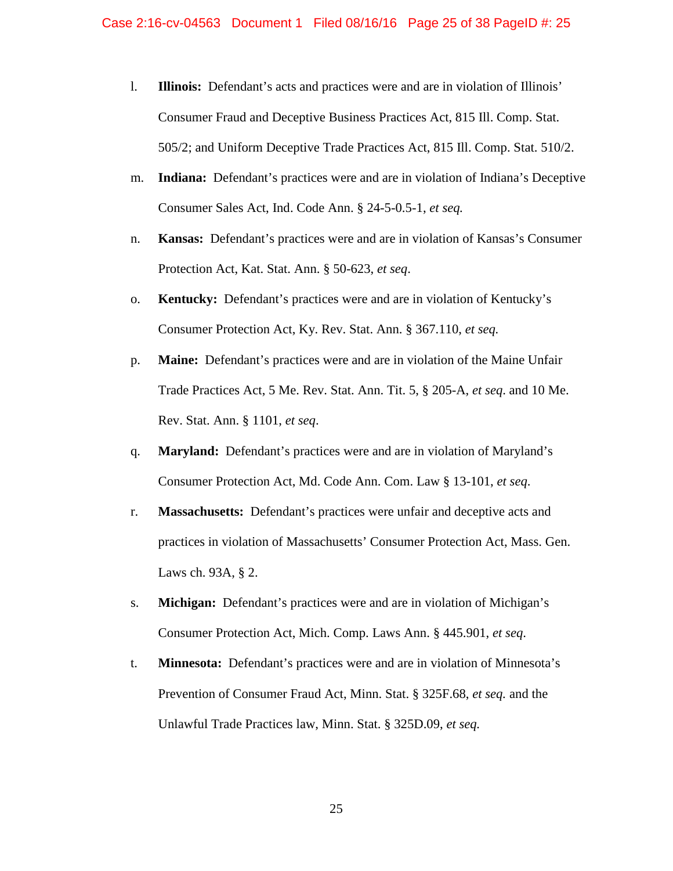- l. **Illinois:** Defendant's acts and practices were and are in violation of Illinois' Consumer Fraud and Deceptive Business Practices Act, 815 Ill. Comp. Stat. 505/2; and Uniform Deceptive Trade Practices Act, 815 Ill. Comp. Stat. 510/2.
- m. **Indiana:** Defendant's practices were and are in violation of Indiana's Deceptive Consumer Sales Act, Ind. Code Ann. § 24-5-0.5-1, *et seq.*
- n. **Kansas:** Defendant's practices were and are in violation of Kansas's Consumer Protection Act, Kat. Stat. Ann. § 50-623, *et seq*.
- o. **Kentucky:** Defendant's practices were and are in violation of Kentucky's Consumer Protection Act, Ky. Rev. Stat. Ann. § 367.110, *et seq.*
- p. **Maine:** Defendant's practices were and are in violation of the Maine Unfair Trade Practices Act, 5 Me. Rev. Stat. Ann. Tit. 5, § 205-A, *et seq*. and 10 Me. Rev. Stat. Ann. § 1101, *et seq*.
- q. **Maryland:** Defendant's practices were and are in violation of Maryland's Consumer Protection Act, Md. Code Ann. Com. Law § 13-101, *et seq*.
- r. **Massachusetts:** Defendant's practices were unfair and deceptive acts and practices in violation of Massachusetts' Consumer Protection Act, Mass. Gen. Laws ch. 93A, § 2.
- s. **Michigan:** Defendant's practices were and are in violation of Michigan's Consumer Protection Act, Mich. Comp. Laws Ann. § 445.901, *et seq*.
- t. **Minnesota:** Defendant's practices were and are in violation of Minnesota's Prevention of Consumer Fraud Act, Minn. Stat. § 325F.68, *et seq.* and the Unlawful Trade Practices law, Minn. Stat. § 325D.09, *et seq.*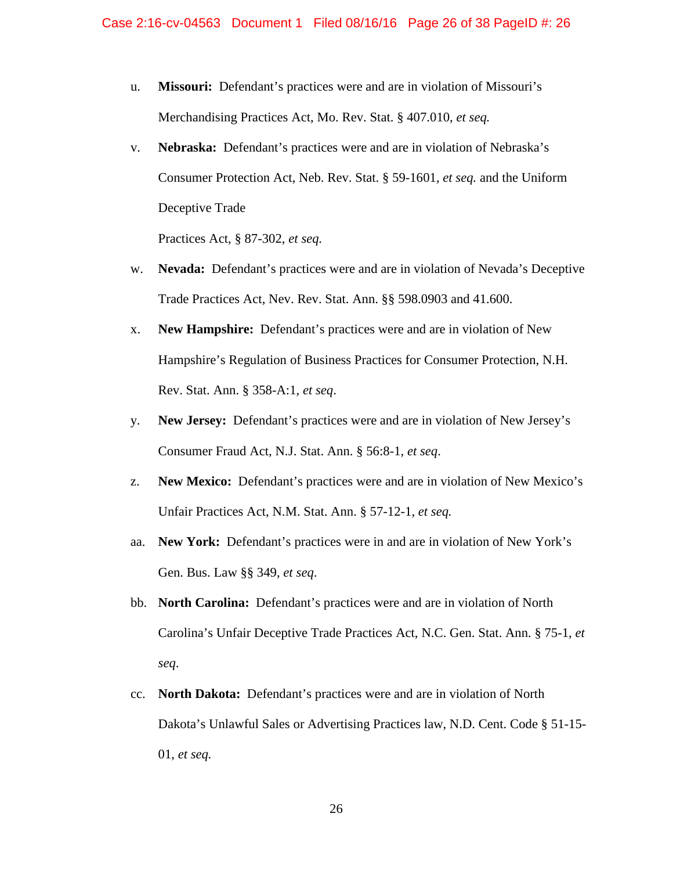- u. **Missouri:** Defendant's practices were and are in violation of Missouri's Merchandising Practices Act, Mo. Rev. Stat. § 407.010, *et seq.*
- v. **Nebraska:** Defendant's practices were and are in violation of Nebraska's Consumer Protection Act, Neb. Rev. Stat. § 59-1601, *et seq.* and the Uniform Deceptive Trade

Practices Act, § 87-302, *et seq.*

- w. **Nevada:** Defendant's practices were and are in violation of Nevada's Deceptive Trade Practices Act, Nev. Rev. Stat. Ann. §§ 598.0903 and 41.600.
- x. **New Hampshire:** Defendant's practices were and are in violation of New Hampshire's Regulation of Business Practices for Consumer Protection, N.H. Rev. Stat. Ann. § 358-A:1, *et seq*.
- y. **New Jersey:** Defendant's practices were and are in violation of New Jersey's Consumer Fraud Act, N.J. Stat. Ann. § 56:8-1, *et seq*.
- z. **New Mexico:** Defendant's practices were and are in violation of New Mexico's Unfair Practices Act, N.M. Stat. Ann. § 57-12-1, *et seq.*
- aa. **New York:** Defendant's practices were in and are in violation of New York's Gen. Bus. Law §§ 349, *et seq*.
- bb. **North Carolina:** Defendant's practices were and are in violation of North Carolina's Unfair Deceptive Trade Practices Act, N.C. Gen. Stat. Ann. § 75-1, *et seq*.
- cc. **North Dakota:** Defendant's practices were and are in violation of North Dakota's Unlawful Sales or Advertising Practices law, N.D. Cent. Code § 51-15- 01, *et seq.*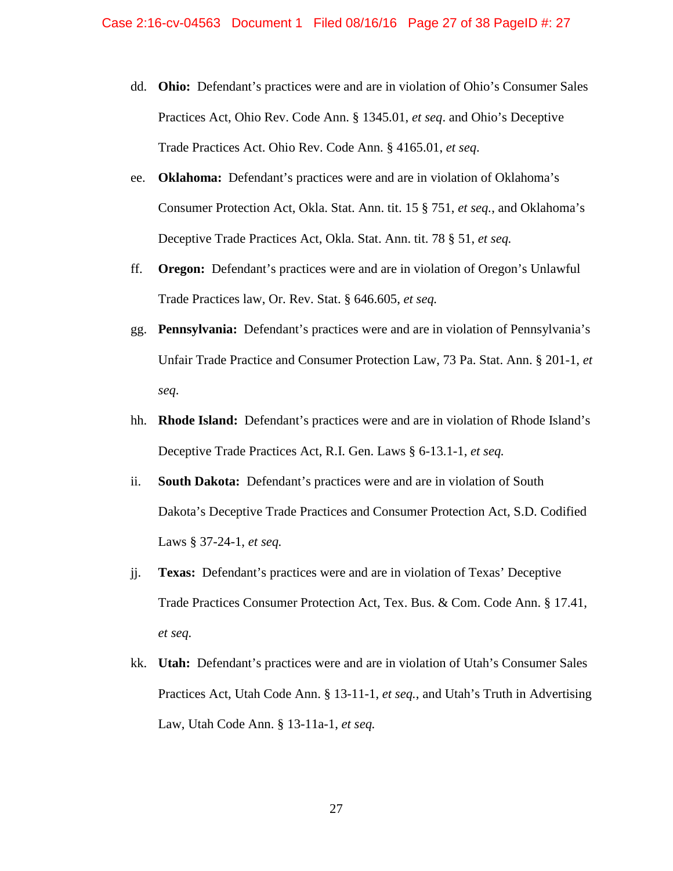- dd. **Ohio:** Defendant's practices were and are in violation of Ohio's Consumer Sales Practices Act, Ohio Rev. Code Ann. § 1345.01, *et seq*. and Ohio's Deceptive Trade Practices Act. Ohio Rev. Code Ann. § 4165.01, *et seq*.
- ee. **Oklahoma:** Defendant's practices were and are in violation of Oklahoma's Consumer Protection Act, Okla. Stat. Ann. tit. 15 § 751, *et seq.*, and Oklahoma's Deceptive Trade Practices Act, Okla. Stat. Ann. tit. 78 § 51, *et seq.*
- ff. **Oregon:** Defendant's practices were and are in violation of Oregon's Unlawful Trade Practices law, Or. Rev. Stat. § 646.605, *et seq.*
- gg. **Pennsylvania:** Defendant's practices were and are in violation of Pennsylvania's Unfair Trade Practice and Consumer Protection Law, 73 Pa. Stat. Ann. § 201-1, *et seq*.
- hh. **Rhode Island:** Defendant's practices were and are in violation of Rhode Island's Deceptive Trade Practices Act, R.I. Gen. Laws § 6-13.1-1, *et seq.*
- ii. **South Dakota:** Defendant's practices were and are in violation of South Dakota's Deceptive Trade Practices and Consumer Protection Act, S.D. Codified Laws § 37-24-1, *et seq.*
- jj. **Texas:** Defendant's practices were and are in violation of Texas' Deceptive Trade Practices Consumer Protection Act, Tex. Bus. & Com. Code Ann. § 17.41, *et seq.*
- kk. **Utah:** Defendant's practices were and are in violation of Utah's Consumer Sales Practices Act, Utah Code Ann. § 13-11-1, *et seq.*, and Utah's Truth in Advertising Law, Utah Code Ann. § 13-11a-1, *et seq.*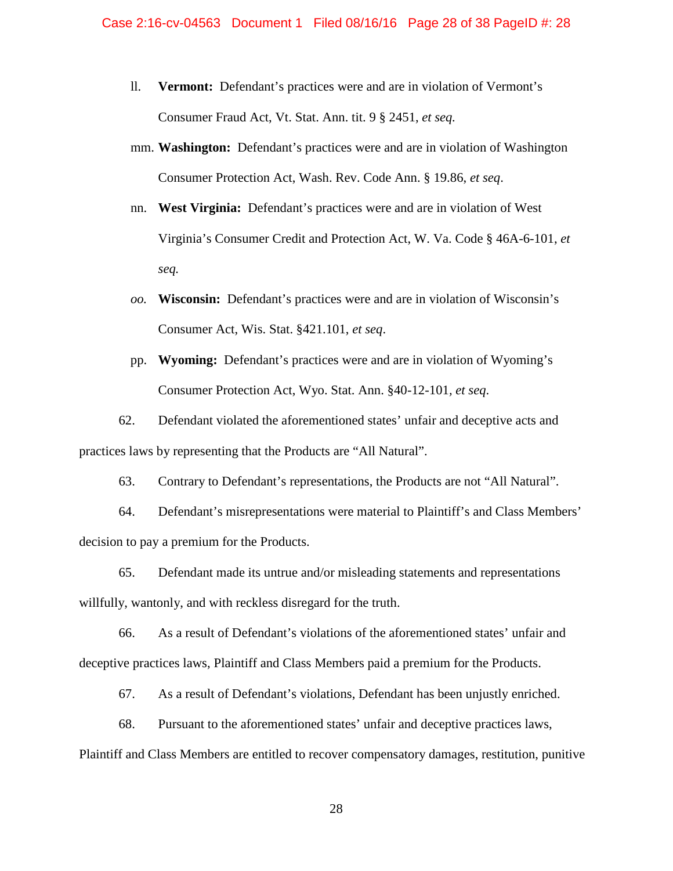- ll. **Vermont:** Defendant's practices were and are in violation of Vermont's Consumer Fraud Act, Vt. Stat. Ann. tit. 9 § 2451, *et seq.*
- mm. **Washington:** Defendant's practices were and are in violation of Washington Consumer Protection Act, Wash. Rev. Code Ann. § 19.86, *et seq*.
- nn. **West Virginia:** Defendant's practices were and are in violation of West Virginia's Consumer Credit and Protection Act, W. Va. Code § 46A-6-101, *et seq.*
- *oo.* **Wisconsin:** Defendant's practices were and are in violation of Wisconsin's Consumer Act, Wis. Stat. §421.101, *et seq*.
- pp. **Wyoming:** Defendant's practices were and are in violation of Wyoming's Consumer Protection Act, Wyo. Stat. Ann. §40-12-101*, et seq*.

62. Defendant violated the aforementioned states' unfair and deceptive acts and practices laws by representing that the Products are "All Natural".

63. Contrary to Defendant's representations, the Products are not "All Natural".

64. Defendant's misrepresentations were material to Plaintiff's and Class Members' decision to pay a premium for the Products.

65. Defendant made its untrue and/or misleading statements and representations willfully, wantonly, and with reckless disregard for the truth.

66. As a result of Defendant's violations of the aforementioned states' unfair and deceptive practices laws, Plaintiff and Class Members paid a premium for the Products.

67. As a result of Defendant's violations, Defendant has been unjustly enriched.

68. Pursuant to the aforementioned states' unfair and deceptive practices laws,

Plaintiff and Class Members are entitled to recover compensatory damages, restitution, punitive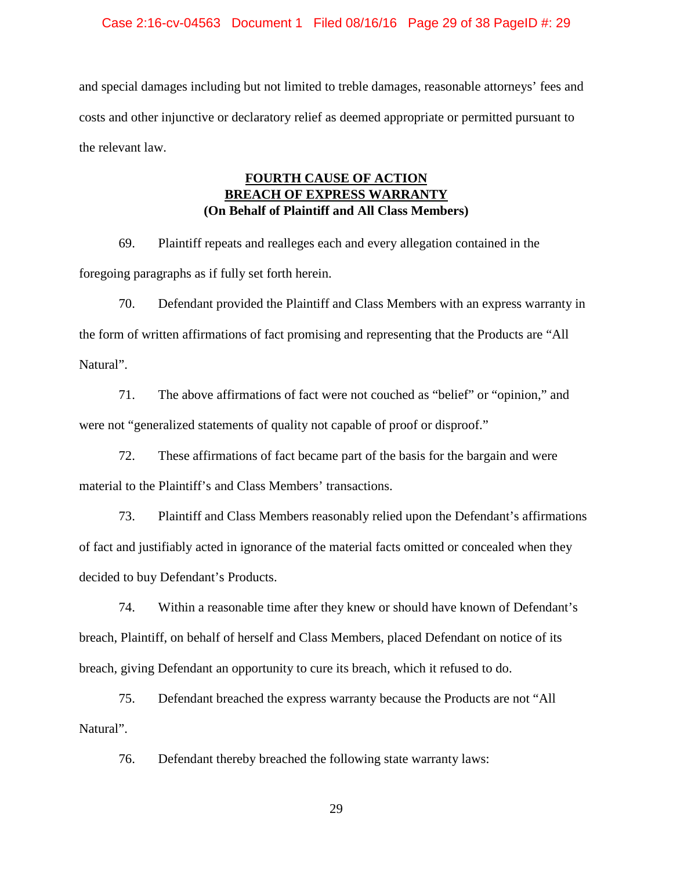### Case 2:16-cv-04563 Document 1 Filed 08/16/16 Page 29 of 38 PageID #: 29

and special damages including but not limited to treble damages, reasonable attorneys' fees and costs and other injunctive or declaratory relief as deemed appropriate or permitted pursuant to the relevant law.

# **FOURTH CAUSE OF ACTION BREACH OF EXPRESS WARRANTY (On Behalf of Plaintiff and All Class Members)**

69. Plaintiff repeats and realleges each and every allegation contained in the foregoing paragraphs as if fully set forth herein.

70. Defendant provided the Plaintiff and Class Members with an express warranty in the form of written affirmations of fact promising and representing that the Products are "All Natural".

71. The above affirmations of fact were not couched as "belief" or "opinion," and were not "generalized statements of quality not capable of proof or disproof."

72. These affirmations of fact became part of the basis for the bargain and were material to the Plaintiff's and Class Members' transactions.

73. Plaintiff and Class Members reasonably relied upon the Defendant's affirmations of fact and justifiably acted in ignorance of the material facts omitted or concealed when they decided to buy Defendant's Products.

74. Within a reasonable time after they knew or should have known of Defendant's breach, Plaintiff, on behalf of herself and Class Members, placed Defendant on notice of its breach, giving Defendant an opportunity to cure its breach, which it refused to do.

75. Defendant breached the express warranty because the Products are not "All Natural".

76. Defendant thereby breached the following state warranty laws: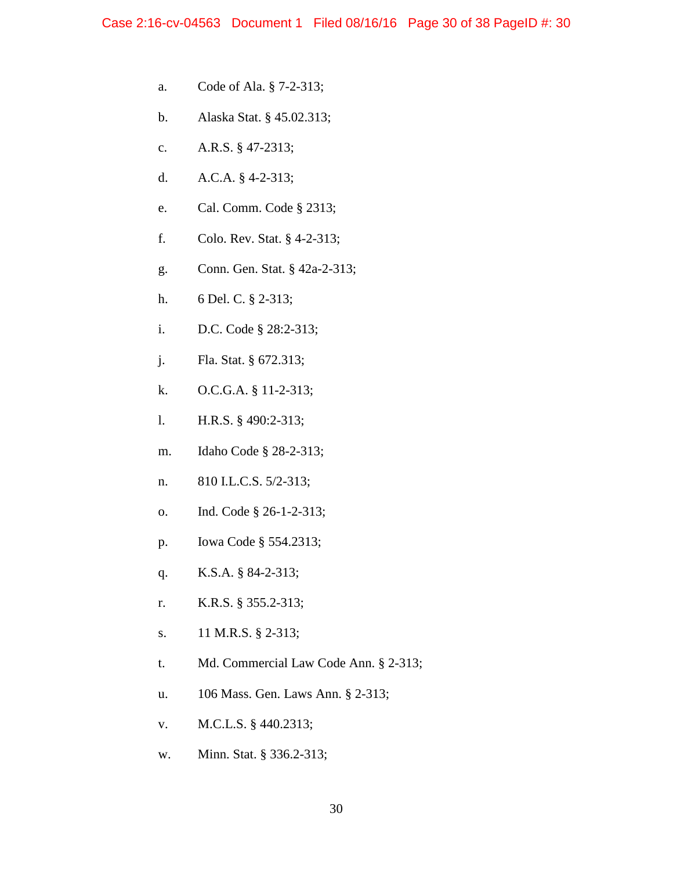- a. Code of Ala. § 7-2-313;
- b. Alaska Stat. § 45.02.313;
- c. A.R.S. § 47-2313;
- d. A.C.A. § 4-2-313;
- e. Cal. Comm. Code § 2313;
- f. Colo. Rev. Stat. § 4-2-313;
- g. Conn. Gen. Stat. § 42a-2-313;
- h. 6 Del. C. § 2-313;
- i. D.C. Code § 28:2-313;
- j. Fla. Stat. § 672.313;
- k. O.C.G.A. § 11-2-313;
- l. H.R.S. § 490:2-313;
- m. Idaho Code § 28-2-313;
- n. 810 I.L.C.S. 5/2-313;
- o. Ind. Code § 26-1-2-313;
- p. Iowa Code § 554.2313;
- q. K.S.A. § 84-2-313;
- r. K.R.S. § 355.2-313;
- s. 11 M.R.S. § 2-313;
- t. Md. Commercial Law Code Ann. § 2-313;
- u. 106 Mass. Gen. Laws Ann. § 2-313;
- v. M.C.L.S. § 440.2313;
- w. Minn. Stat. § 336.2-313;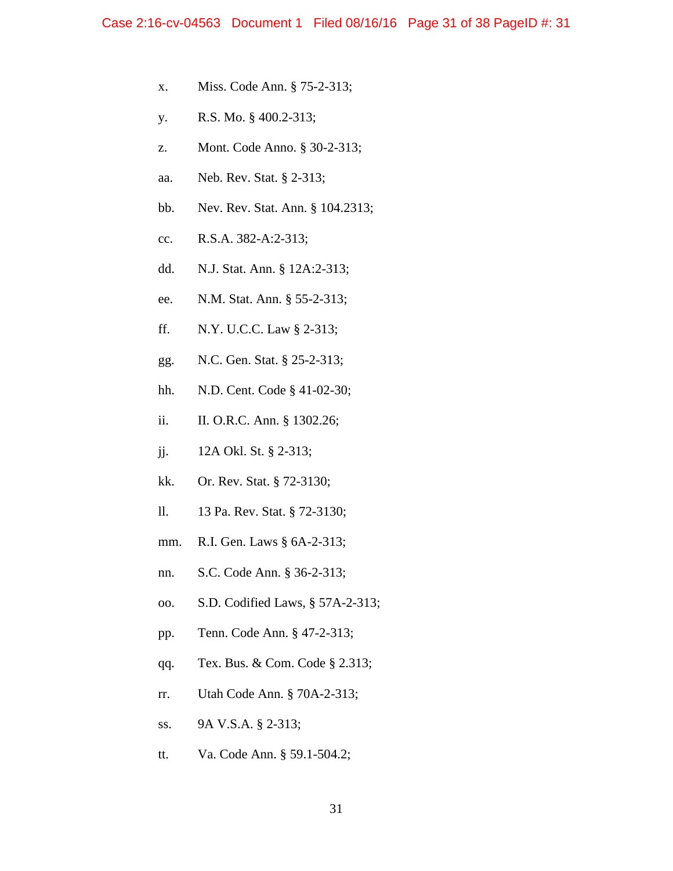- x. Miss. Code Ann. § 75-2-313;
- y. R.S. Mo. § 400.2-313;
- z. Mont. Code Anno. § 30-2-313;
- aa. Neb. Rev. Stat. § 2-313;
- bb. Nev. Rev. Stat. Ann. § 104.2313;
- cc. R.S.A. 382-A:2-313;
- dd. N.J. Stat. Ann. § 12A:2-313;
- ee. N.M. Stat. Ann. § 55-2-313;
- ff. N.Y. U.C.C. Law § 2-313;
- gg. N.C. Gen. Stat. § 25-2-313;
- hh. N.D. Cent. Code § 41-02-30;
- ii. II. O.R.C. Ann. § 1302.26;
- jj. 12A Okl. St. § 2-313;
- kk. Or. Rev. Stat. § 72-3130;
- ll. 13 Pa. Rev. Stat. § 72-3130;
- mm. R.I. Gen. Laws § 6A-2-313;
- nn. S.C. Code Ann. § 36-2-313;
- oo. S.D. Codified Laws, § 57A-2-313;
- pp. Tenn. Code Ann. § 47-2-313;
- qq. Tex. Bus. & Com. Code § 2.313;
- rr. Utah Code Ann. § 70A-2-313;
- ss. 9A V.S.A. § 2-313;
- tt. Va. Code Ann. § 59.1-504.2;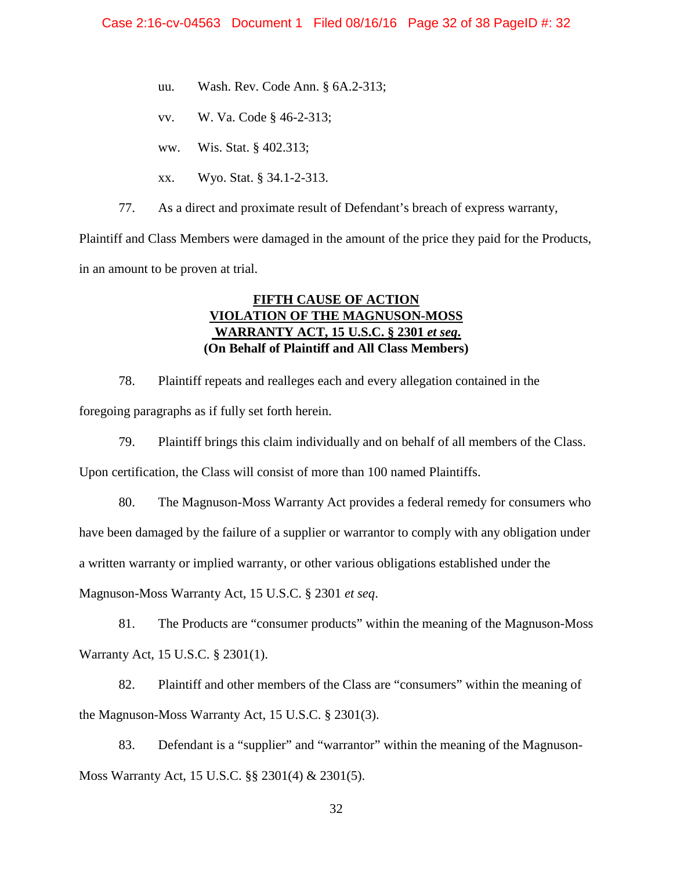- uu. Wash. Rev. Code Ann. § 6A.2-313;
- vv. W. Va. Code § 46-2-313;
- ww. Wis. Stat. § 402.313;
- xx. Wyo. Stat. § 34.1-2-313.

77. As a direct and proximate result of Defendant's breach of express warranty,

Plaintiff and Class Members were damaged in the amount of the price they paid for the Products, in an amount to be proven at trial.

# **FIFTH CAUSE OF ACTION VIOLATION OF THE MAGNUSON-MOSS WARRANTY ACT, 15 U.S.C. § 2301** *et seq***. (On Behalf of Plaintiff and All Class Members)**

78. Plaintiff repeats and realleges each and every allegation contained in the foregoing paragraphs as if fully set forth herein.

79. Plaintiff brings this claim individually and on behalf of all members of the Class.

Upon certification, the Class will consist of more than 100 named Plaintiffs.

80. The Magnuson-Moss Warranty Act provides a federal remedy for consumers who

have been damaged by the failure of a supplier or warrantor to comply with any obligation under

a written warranty or implied warranty, or other various obligations established under the

Magnuson-Moss Warranty Act, 15 U.S.C. § 2301 *et seq*.

81. The Products are "consumer products" within the meaning of the Magnuson-Moss Warranty Act, 15 U.S.C. § 2301(1).

82. Plaintiff and other members of the Class are "consumers" within the meaning of the Magnuson-Moss Warranty Act, 15 U.S.C. § 2301(3).

83. Defendant is a "supplier" and "warrantor" within the meaning of the Magnuson-Moss Warranty Act, 15 U.S.C. §§ 2301(4) & 2301(5).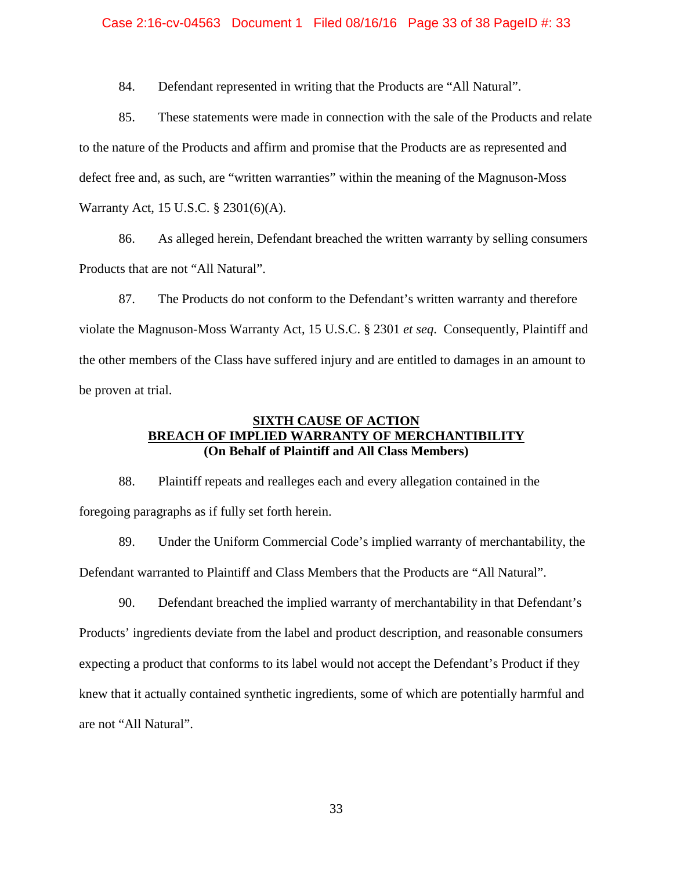#### Case 2:16-cv-04563 Document 1 Filed 08/16/16 Page 33 of 38 PageID #: 33

84. Defendant represented in writing that the Products are "All Natural".

85. These statements were made in connection with the sale of the Products and relate to the nature of the Products and affirm and promise that the Products are as represented and defect free and, as such, are "written warranties" within the meaning of the Magnuson-Moss Warranty Act, 15 U.S.C. § 2301(6)(A).

86. As alleged herein, Defendant breached the written warranty by selling consumers Products that are not "All Natural".

87. The Products do not conform to the Defendant's written warranty and therefore violate the Magnuson-Moss Warranty Act, 15 U.S.C. § 2301 *et seq*. Consequently, Plaintiff and the other members of the Class have suffered injury and are entitled to damages in an amount to be proven at trial.

# **SIXTH CAUSE OF ACTION BREACH OF IMPLIED WARRANTY OF MERCHANTIBILITY (On Behalf of Plaintiff and All Class Members)**

88. Plaintiff repeats and realleges each and every allegation contained in the foregoing paragraphs as if fully set forth herein.

89. Under the Uniform Commercial Code's implied warranty of merchantability, the Defendant warranted to Plaintiff and Class Members that the Products are "All Natural".

90. Defendant breached the implied warranty of merchantability in that Defendant's Products' ingredients deviate from the label and product description, and reasonable consumers expecting a product that conforms to its label would not accept the Defendant's Product if they knew that it actually contained synthetic ingredients, some of which are potentially harmful and are not "All Natural".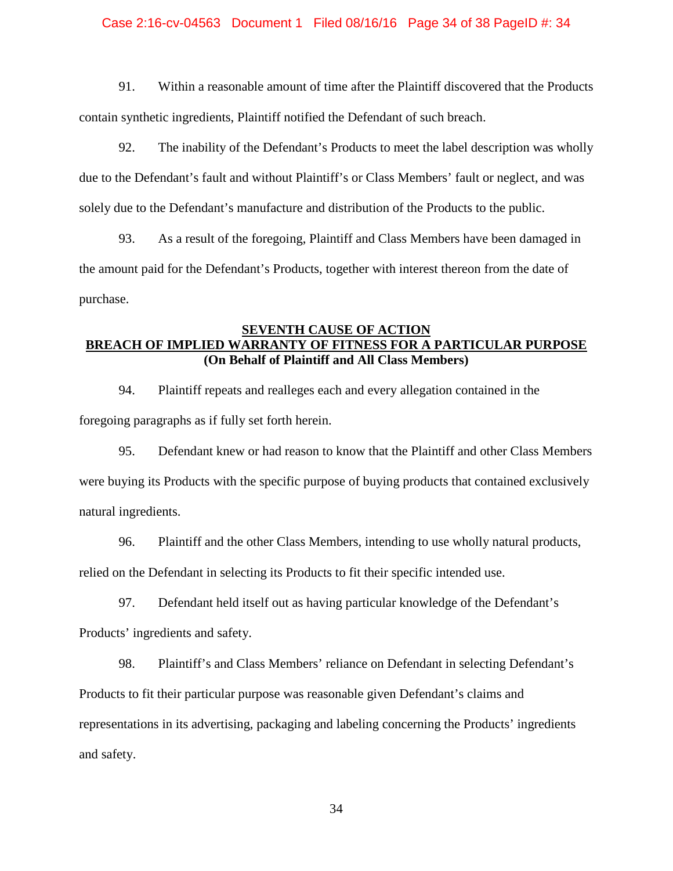# Case 2:16-cv-04563 Document 1 Filed 08/16/16 Page 34 of 38 PageID #: 34

91. Within a reasonable amount of time after the Plaintiff discovered that the Products contain synthetic ingredients, Plaintiff notified the Defendant of such breach.

92. The inability of the Defendant's Products to meet the label description was wholly due to the Defendant's fault and without Plaintiff's or Class Members' fault or neglect, and was solely due to the Defendant's manufacture and distribution of the Products to the public.

93. As a result of the foregoing, Plaintiff and Class Members have been damaged in the amount paid for the Defendant's Products, together with interest thereon from the date of purchase.

# **SEVENTH CAUSE OF ACTION BREACH OF IMPLIED WARRANTY OF FITNESS FOR A PARTICULAR PURPOSE (On Behalf of Plaintiff and All Class Members)**

94. Plaintiff repeats and realleges each and every allegation contained in the foregoing paragraphs as if fully set forth herein.

95. Defendant knew or had reason to know that the Plaintiff and other Class Members were buying its Products with the specific purpose of buying products that contained exclusively natural ingredients.

96. Plaintiff and the other Class Members, intending to use wholly natural products, relied on the Defendant in selecting its Products to fit their specific intended use.

97. Defendant held itself out as having particular knowledge of the Defendant's Products' ingredients and safety.

98. Plaintiff's and Class Members' reliance on Defendant in selecting Defendant's Products to fit their particular purpose was reasonable given Defendant's claims and representations in its advertising, packaging and labeling concerning the Products' ingredients and safety.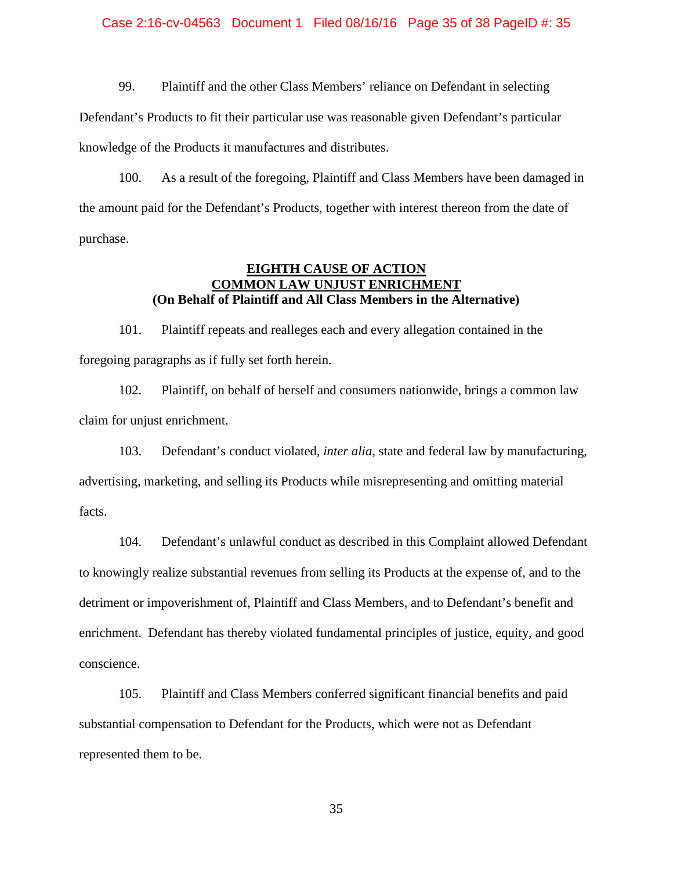#### Case 2:16-cv-04563 Document 1 Filed 08/16/16 Page 35 of 38 PageID #: 35

99. Plaintiff and the other Class Members' reliance on Defendant in selecting Defendant's Products to fit their particular use was reasonable given Defendant's particular knowledge of the Products it manufactures and distributes.

100. As a result of the foregoing, Plaintiff and Class Members have been damaged in the amount paid for the Defendant's Products, together with interest thereon from the date of purchase.

## **EIGHTH CAUSE OF ACTION COMMON LAW UNJUST ENRICHMENT (On Behalf of Plaintiff and All Class Members in the Alternative)**

101. Plaintiff repeats and realleges each and every allegation contained in the foregoing paragraphs as if fully set forth herein.

102. Plaintiff, on behalf of herself and consumers nationwide, brings a common law claim for unjust enrichment.

103. Defendant's conduct violated, *inter alia*, state and federal law by manufacturing, advertising, marketing, and selling its Products while misrepresenting and omitting material facts.

104. Defendant's unlawful conduct as described in this Complaint allowed Defendant to knowingly realize substantial revenues from selling its Products at the expense of, and to the detriment or impoverishment of, Plaintiff and Class Members, and to Defendant's benefit and enrichment. Defendant has thereby violated fundamental principles of justice, equity, and good conscience.

105. Plaintiff and Class Members conferred significant financial benefits and paid substantial compensation to Defendant for the Products, which were not as Defendant represented them to be.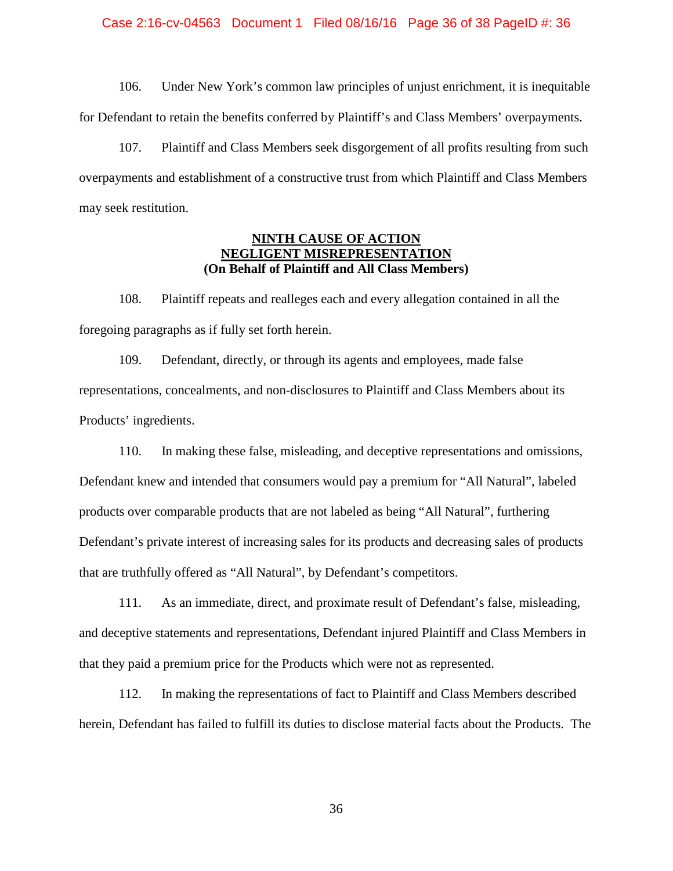#### Case 2:16-cv-04563 Document 1 Filed 08/16/16 Page 36 of 38 PageID #: 36

106. Under New York's common law principles of unjust enrichment, it is inequitable for Defendant to retain the benefits conferred by Plaintiff's and Class Members' overpayments.

107. Plaintiff and Class Members seek disgorgement of all profits resulting from such overpayments and establishment of a constructive trust from which Plaintiff and Class Members may seek restitution.

## **NINTH CAUSE OF ACTION NEGLIGENT MISREPRESENTATION (On Behalf of Plaintiff and All Class Members)**

108. Plaintiff repeats and realleges each and every allegation contained in all the foregoing paragraphs as if fully set forth herein.

109. Defendant, directly, or through its agents and employees, made false representations, concealments, and non-disclosures to Plaintiff and Class Members about its Products' ingredients.

110. In making these false, misleading, and deceptive representations and omissions, Defendant knew and intended that consumers would pay a premium for "All Natural", labeled products over comparable products that are not labeled as being "All Natural", furthering Defendant's private interest of increasing sales for its products and decreasing sales of products that are truthfully offered as "All Natural", by Defendant's competitors.

111. As an immediate, direct, and proximate result of Defendant's false, misleading, and deceptive statements and representations, Defendant injured Plaintiff and Class Members in that they paid a premium price for the Products which were not as represented.

112. In making the representations of fact to Plaintiff and Class Members described herein, Defendant has failed to fulfill its duties to disclose material facts about the Products. The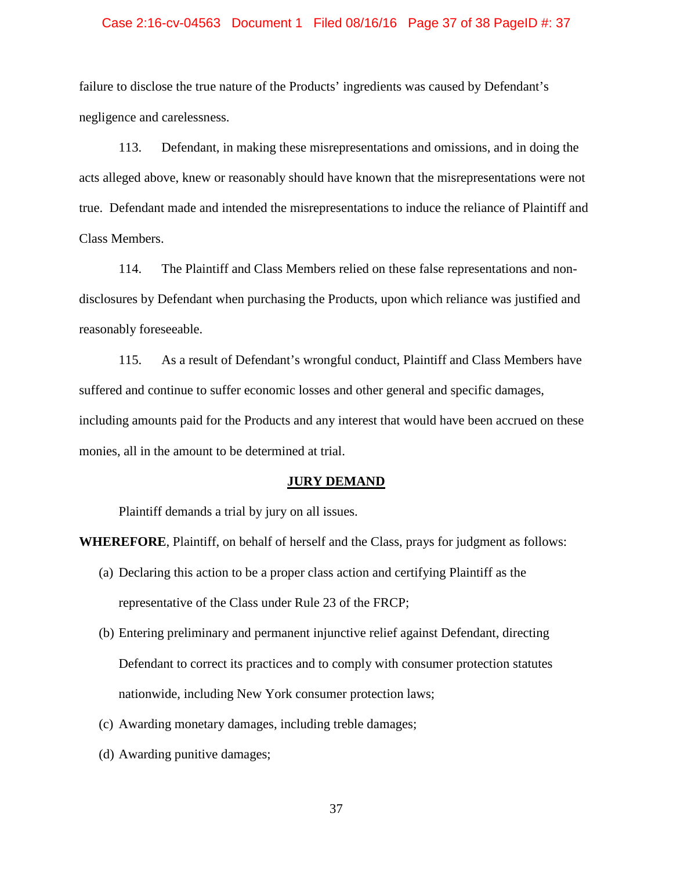#### Case 2:16-cv-04563 Document 1 Filed 08/16/16 Page 37 of 38 PageID #: 37

failure to disclose the true nature of the Products' ingredients was caused by Defendant's negligence and carelessness.

113. Defendant, in making these misrepresentations and omissions, and in doing the acts alleged above, knew or reasonably should have known that the misrepresentations were not true. Defendant made and intended the misrepresentations to induce the reliance of Plaintiff and Class Members.

114. The Plaintiff and Class Members relied on these false representations and nondisclosures by Defendant when purchasing the Products, upon which reliance was justified and reasonably foreseeable.

115. As a result of Defendant's wrongful conduct, Plaintiff and Class Members have suffered and continue to suffer economic losses and other general and specific damages, including amounts paid for the Products and any interest that would have been accrued on these monies, all in the amount to be determined at trial.

### **JURY DEMAND**

Plaintiff demands a trial by jury on all issues.

**WHEREFORE**, Plaintiff, on behalf of herself and the Class, prays for judgment as follows:

- (a) Declaring this action to be a proper class action and certifying Plaintiff as the representative of the Class under Rule 23 of the FRCP;
- (b) Entering preliminary and permanent injunctive relief against Defendant, directing Defendant to correct its practices and to comply with consumer protection statutes nationwide, including New York consumer protection laws;
- (c) Awarding monetary damages, including treble damages;
- (d) Awarding punitive damages;